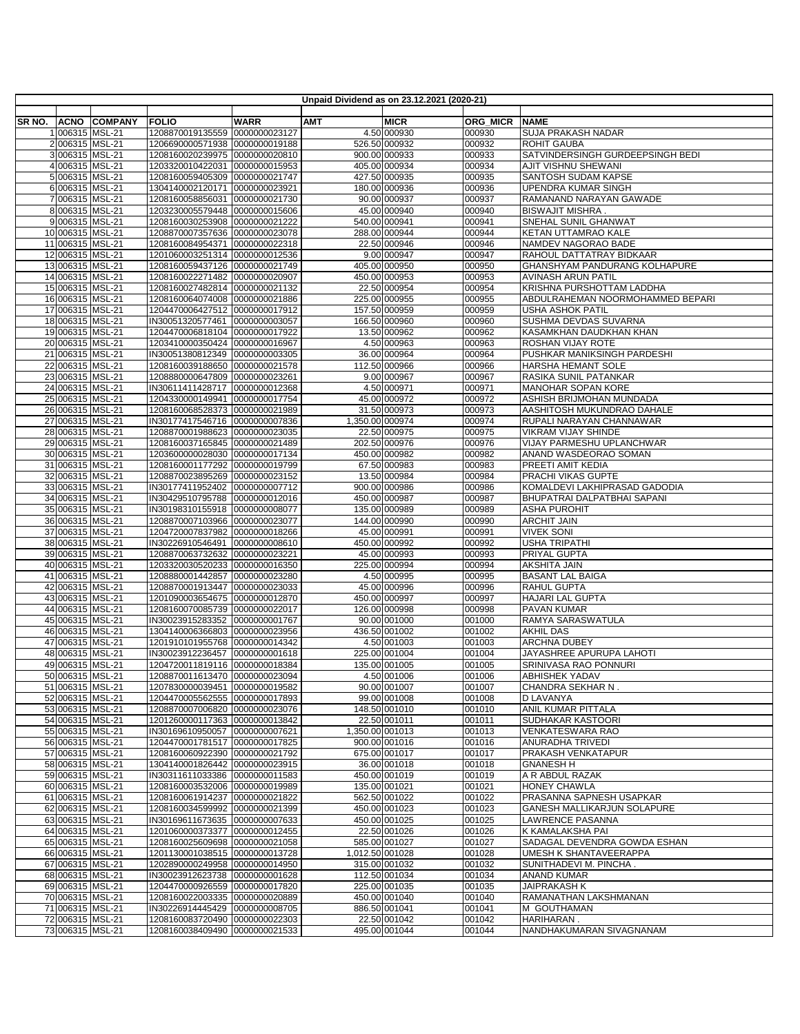|        |                                      |                |                                                                  |                              |                 | Unpaid Dividend as on 23.12.2021 (2020-21) |                  |                                                           |
|--------|--------------------------------------|----------------|------------------------------------------------------------------|------------------------------|-----------------|--------------------------------------------|------------------|-----------------------------------------------------------|
|        |                                      |                |                                                                  |                              |                 |                                            |                  |                                                           |
| SR NO. | <b>ACNO</b>                          | <b>COMPANY</b> | <b>FOLIO</b>                                                     | <b>WARR</b><br>0000000023127 | АМТ             | <b>MICR</b>                                | ORG MICR         | <b>NAME</b><br><b>SUJA PRAKASH NADAR</b>                  |
|        | 1 006315 MSL-21<br>2 006315 MSL-21   |                | 1208870019135559<br>1206690000571938 0000000019188               |                              |                 | 4.50 000930<br>526.50 000932               | 000930<br>000932 | <b>ROHIT GAUBA</b>                                        |
|        | 3 006315 MSL-21                      |                | 1208160020239975 0000000020810                                   |                              |                 | 900.00 000933                              | 000933           | SATVINDERSINGH GURDEEPSINGH BEDI                          |
|        | 4 006315 MSL-21                      |                | 1203320010422031                                                 | 0000000015953                |                 | 405.00 000934                              | 000934           | AJIT VISHNU SHEWANI                                       |
|        | 5 006315 MSL-21                      |                | 1208160059405309                                                 | 0000000021747                |                 | 427.50 000935                              | 000935           | SANTOSH SUDAM KAPSE                                       |
|        | 6 006315 MSL-21                      |                | 1304140002120171 0000000023921                                   |                              |                 | 180.00 000936                              | 000936           | <b>UPENDRA KUMAR SINGH</b>                                |
|        | 7 006315 MSL-21                      |                | 1208160058856031                                                 | 0000000021730                |                 | 90.00 000937                               | 000937           | RAMANAND NARAYAN GAWADE                                   |
|        | 8 006315 MSL-21                      |                | 1203230005579448 0000000015606                                   |                              |                 | 45.00 000940                               | 000940           | <b>BISWAJIT MISHRA.</b>                                   |
|        | 9 006315 MSL-21                      |                | 1208160030253908 0000000021222                                   |                              |                 | 540.00 000941                              | 000941           | SNEHAL SUNIL GHANWAT                                      |
|        | 10 006315 MSL-21                     |                | 1208870007357636 0000000023078                                   |                              |                 | 288.00 000944                              | 000944           | KETAN UTTAMRAO KALE                                       |
|        | 11 006315 MSL-21                     |                | 1208160084954371 0000000022318                                   |                              |                 | 22.50 000946                               | 000946           | NAMDEV NAGORAO BADE                                       |
|        | 12 006315 MSL-21<br>13 006315 MSL-21 |                | 1201060003251314 0000000012536<br>1208160059437126 0000000021749 |                              |                 | 9.00 000947<br>405.00 000950               | 000947<br>000950 | RAHOUL DATTATRAY BIDKAAR<br>GHANSHYAM PANDURANG KOLHAPURE |
|        | 14 006315 MSL-21                     |                | 1208160022271482 0000000020907                                   |                              |                 | 450.00 000953                              | 000953           | AVINASH ARUN PATIL                                        |
|        | 15 006315 MSL-21                     |                | 1208160027482814 0000000021132                                   |                              |                 | 22.50 000954                               | 000954           | KRISHNA PURSHOTTAM LADDHA                                 |
|        | 16 006315 MSL-21                     |                | 1208160064074008 0000000021886                                   |                              |                 | 225.00 000955                              | 000955           | ABDULRAHEMAN NOORMOHAMMED BEPARI                          |
|        | 17 006315 MSL-21                     |                | 1204470006427512 0000000017912                                   |                              |                 | 157.50 000959                              | 000959           | <b>USHA ASHOK PATIL</b>                                   |
|        | 18 006315 MSL-21                     |                | IN30051320577461 0000000003057                                   |                              |                 | 166.50 000960                              | 000960           | SUSHMA DEVDAS SUVARNA                                     |
|        | 19 006315 MSL-21                     |                | 1204470006818104 0000000017922                                   |                              |                 | 13.50 000962                               | 000962           | KASAMKHAN DAUDKHAN KHAN                                   |
|        | 20 006315 MSL-21                     |                | 1203410000350424 0000000016967                                   |                              |                 | 4.50 000963                                | 000963           | ROSHAN VIJAY ROTE                                         |
|        | 21 006315 MSL-21                     |                | IN30051380812349 0000000003305                                   |                              |                 | 36.00 000964                               | 000964           | PUSHKAR MANIKSINGH PARDESHI                               |
|        | 22 006315 MSL-21                     |                | 1208160039188650 0000000021578                                   |                              |                 | 112.50 000966                              | 000966           | HARSHA HEMANT SOLE                                        |
|        | 23 006315 MSL-21<br>24 006315 MSL-21 |                | 1208880000647809 0000000023261<br>IN30611411428717 0000000012368 |                              |                 | 9.00 000967<br>4.50 000971                 | 000967<br>000971 | RASIKA SUNIL PATANKAR<br>MANOHAR SOPAN KORE               |
|        | 25 006315 MSL-21                     |                | 1204330000149941 0000000017754                                   |                              |                 | 45.00 000972                               | 000972           | ASHISH BRIJMOHAN MUNDADA                                  |
|        | 26 006315 MSL-21                     |                | 1208160068528373 0000000021989                                   |                              |                 | 31.50 000973                               | 000973           | AASHITOSH MUKUNDRAO DAHALE                                |
|        | 27 006315 MSL-21                     |                | IN30177417546716 0000000007836                                   |                              | 1,350.00 000974 |                                            | 000974           | RUPALI NARAYAN CHANNAWAR                                  |
|        | 28 006315 MSL-21                     |                | 1208870001988623 0000000023035                                   |                              |                 | 22.50 000975                               | 000975           | VIKRAM VIJAY SHINDE                                       |
|        | 29 006315 MSL-21                     |                | 1208160037165845 0000000021489                                   |                              |                 | 202.50 000976                              | 000976           | <b>VIJAY PARMESHU UPLANCHWAR</b>                          |
|        | 30 006315 MSL-21                     |                | 1203600000028030 0000000017134                                   |                              |                 | 450.00 000982                              | 000982           | ANAND WASDEORAO SOMAN                                     |
|        | 31 006315 MSL-21                     |                | 1208160001177292 0000000019799                                   |                              |                 | 67.50 000983                               | 000983           | PREETI AMIT KEDIA<br>PRACHI VIKAS GUPTE                   |
|        | 32 006315 MSL-21<br>33 006315 MSL-21 |                | 1208870023895269 0000000023152<br>IN30177411952402 0000000007712 |                              |                 | 13.50 000984<br>900.00 000986              | 000984<br>000986 | KOMALDEVI LAKHIPRASAD GADODIA                             |
|        | 34 006315 MSL-21                     |                | IN30429510795788 0000000012016                                   |                              |                 | 450.00 000987                              | 000987           | BHUPATRAI DALPATBHAI SAPANI                               |
|        | 35 006315 MSL-21                     |                | IN30198310155918 0000000008077                                   |                              |                 | 135.00 000989                              | 000989           | <b>ASHA PUROHIT</b>                                       |
|        | 36 006315 MSL-21                     |                | 1208870007103966 0000000023077                                   |                              |                 | 144.00 000990                              | 000990           | <b>ARCHIT JAIN</b>                                        |
|        | 37 006315 MSL-21                     |                | 1204720007837982 0000000018266                                   |                              |                 | 45.00 000991                               | 000991           | <b>VIVEK SONI</b>                                         |
|        | 38 006315 MSL-21                     |                | IN30226910546491                                                 | 0000000008610                |                 | 450.00 000992                              | 000992           | <b>USHA TRIPATHI</b>                                      |
|        | 39 006315 MSL-21                     |                | 1208870063732632                                                 | 0000000023221                |                 | 45.00 000993                               | 000993           | PRIYAL GUPTA                                              |
|        | 40 006315 MSL-21<br>41 006315 MSL-21 |                | 1203320030520233<br>1208880001442857 0000000023280               | 0000000016350                |                 | 225.00 000994                              | 000994<br>000995 | AKSHITA JAIN                                              |
|        | 42 006315 MSL-21                     |                | 1208870001913447 0000000023033                                   |                              |                 | 4.50 000995<br>45.00 000996                | 000996           | <b>BASANT LAL BAIGA</b><br><b>RAHUL GUPTA</b>             |
|        | 43 006315 MSL-21                     |                | 1201090003654675 0000000012870                                   |                              |                 | 450.00 000997                              | 000997           | <b>HAJARI LAL GUPTA</b>                                   |
|        | 44 006315 MSL-21                     |                | 1208160070085739 0000000022017                                   |                              |                 | 126.00 000998                              | 000998           | <b>PAVAN KUMAR</b>                                        |
|        | 45 006315 MSL-21                     |                | IN30023915283352 0000000001767                                   |                              |                 | 90.00 001000                               | 001000           | RAMYA SARASWATULA                                         |
|        | 46 006315 MSL-21                     |                | 1304140006366803 0000000023956                                   |                              |                 | 436.50 001002                              | 001002           | <b>AKHIL DAS</b>                                          |
|        | 47 006315 MSL-21                     |                | 1201910101955768 0000000014342                                   |                              |                 | 4.50 001003                                | 001003           | <b>ARCHNA DUBEY</b>                                       |
|        | 48 006315 MSL-21                     |                | IN30023912236457 0000000001618                                   |                              |                 | 225.00 001004                              | 001004           | JAYASHREE APURUPA LAHOTI                                  |
|        | 49 006315 MSL-21<br>50 006315 MSL-21 |                | 1204720011819116 0000000018384<br>1208870011613470 0000000023094 |                              |                 | 135.00 001005<br>4.50 001006               | 001005<br>001006 | SRINIVASA RAO PONNURI<br><b>ABHISHEK YADAV</b>            |
|        | 51 006315 MSL-21                     |                | 1207830000039451 0000000019582                                   |                              |                 | 90.00 001007                               | 001007           | CHANDRA SEKHAR N.                                         |
|        | 52 006315 MSL-21                     |                | 1204470005562555 0000000017893                                   |                              |                 | 99.00 001008                               | 001008           | D LAVANYA                                                 |
|        | 53 006315 MSL-21                     |                | 1208870007006820 0000000023076                                   |                              |                 | 148.50 001010                              | 001010           | ANIL KUMAR PITTALA                                        |
|        | 54 006315 MSL-21                     |                | 1201260000117363 0000000013842                                   |                              |                 | 22.50 001011                               | 001011           | SUDHAKAR KASTOORI                                         |
|        | 55 006315 MSL-21                     |                | IN30169610950057 0000000007621                                   |                              | 1,350.00 001013 |                                            | 001013           | VENKATESWARA RAO                                          |
|        | 56 006315 MSL-21                     |                | 1204470001781517 0000000017825                                   |                              |                 | 900.00 001016                              | 001016           | ANURADHA TRIVEDI                                          |
|        | 57 006315 MSL-21                     |                | 1208160060922390                                                 | 0000000021792                |                 | 675.00 001017                              | 001017           | PRAKASH VENKATAPUR                                        |
|        | 58 006315 MSL-21                     |                | 1304140001826442 0000000023915                                   |                              |                 | 36.00 001018                               | 001018           | <b>GNANESH H</b>                                          |
|        | 59 006315 MSL-21<br>60 006315 MSL-21 |                | IN30311611033386 0000000011583<br>1208160003532006 0000000019989 |                              |                 | 450.00 001019<br>135.00 001021             | 001019<br>001021 | A R ABDUL RAZAK<br>HONEY CHAWLA                           |
|        | 61 006315 MSL-21                     |                | 1208160061914237 0000000021822                                   |                              |                 | 562.50 001022                              | 001022           | PRASANNA SAPNESH USAPKAR                                  |
|        | 62 006315 MSL-21                     |                | 1208160034599992 0000000021399                                   |                              |                 | 450.00 001023                              | 001023           | GANESH MALLIKARJUN SOLAPURE                               |
|        | 63 006315 MSL-21                     |                | IN30169611673635 0000000007633                                   |                              |                 | 450.00 001025                              | 001025           | LAWRENCE PASANNA                                          |
|        | 64 006315 MSL-21                     |                | 1201060000373377 0000000012455                                   |                              |                 | 22.50 001026                               | 001026           | K KAMALAKSHA PAI                                          |
|        | 65 006315 MSL-21                     |                | 1208160025609698 0000000021058                                   |                              |                 | 585.00 001027                              | 001027           | SADAGAL DEVENDRA GOWDA ESHAN                              |
|        | 66 006315 MSL-21                     |                | 1201130001038515 0000000013728                                   |                              | 1,012.50 001028 |                                            | 001028           | UMESH K SHANTAVEERAPPA                                    |
|        | 67 006315 MSL-21<br>68 006315 MSL-21 |                | 1202890000249958 0000000014950                                   |                              |                 | 315.00 001032<br>112.50 001034             | 001032<br>001034 | SUNITHADEVI M. PINCHA.<br><b>ANAND KUMAR</b>              |
|        | 69 006315 MSL-21                     |                | IN30023912623738 0000000001628<br>1204470000926559 0000000017820 |                              |                 | 225.00 001035                              | 001035           | JAIPRAKASH K                                              |
|        | 70 006315 MSL-21                     |                | 1208160022003335 0000000020889                                   |                              |                 | 450.00 001040                              | 001040           | RAMANATHAN LAKSHMANAN                                     |
|        | 71 006315 MSL-21                     |                | IN30226914445429 0000000008705                                   |                              |                 | 886.50 001041                              | 001041           | M GOUTHAMAN                                               |
|        | 72 006315 MSL-21                     |                | 1208160083720490 0000000022303                                   |                              |                 | 22.50 001042                               | 001042           | <b>HARIHARAN</b>                                          |
|        | 73 006315 MSL-21                     |                | 1208160038409490 0000000021533                                   |                              |                 | 495.00 001044                              | 001044           | NANDHAKUMARAN SIVAGNANAM                                  |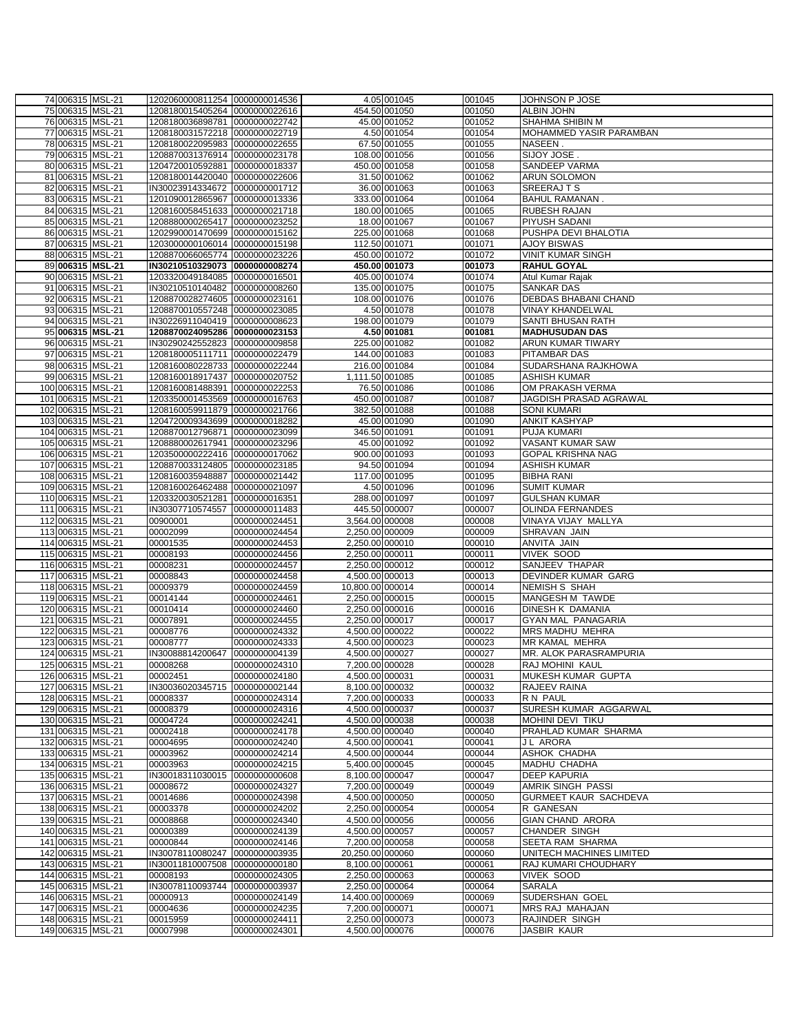| 74 006315 MSL-21                       | 1202060000811254 0000000014536                                   |                                |                                    | 4.05 001045                  | 001045           | <b>JOHNSON P JOSE</b>                           |
|----------------------------------------|------------------------------------------------------------------|--------------------------------|------------------------------------|------------------------------|------------------|-------------------------------------------------|
| 75 006315 MSL-21                       | 1208180015405264 0000000022616                                   |                                |                                    | 454.50 001050                | 001050           | <b>ALBIN JOHN</b>                               |
| 76 006315 MSL-21                       | 1208180036898781 0000000022742                                   |                                |                                    | 45.00 001052                 | 001052           | SHAHMA SHIBIN M                                 |
| 77 006315 MSL-21                       | 1208180031572218 0000000022719                                   |                                |                                    | 4.50 001054                  | 001054           | MOHAMMED YASIR PARAMBAN                         |
| 78 006315 MSL-21                       | 1208180022095983 0000000022655                                   |                                |                                    | 67.50 001055                 | 001055           | NASEEN.                                         |
| 79 006315 MSL-21                       | 1208870031376914 0000000023178                                   |                                |                                    | 108.00 001056                | 001056           | SIJOY JOSE.                                     |
| 80 006315 MSL-21                       | 1204720010592881 0000000018337                                   |                                |                                    | 450.00 001058                | 001058           | SANDEEP VARMA                                   |
| 81 006315 MSL-21                       | 1208180014420040 0000000022606                                   |                                |                                    | 31.50 001062                 | 001062           | <b>ARUN SOLOMON</b>                             |
| 82 006315 MSL-21                       | IN30023914334672 0000000001712                                   |                                |                                    | 36.00 001063                 | 001063           | SREERAJTS                                       |
| 83 006315 MSL-21                       | 1201090012865967 0000000013336                                   |                                |                                    | 333.00 001064                | 001064           | <b>BAHUL RAMANAN.</b>                           |
| 84 006315 MSL-21                       | 1208160058451633 0000000021718                                   |                                |                                    | 180.00 001065                | 001065           | <b>RUBESH RAJAN</b>                             |
| 85 006315 MSL-21                       | 1208880000265417 0000000023252                                   |                                |                                    | 18.00 001067                 | 001067           | PIYUSH SADANI                                   |
| 86 006315 MSL-21                       | 1202990001470699 0000000015162                                   |                                |                                    | 225.00 001068                | 001068           | PUSHPA DEVI BHALOTIA                            |
| 87 006315 MSL-21                       | 1203000000106014 0000000015198                                   |                                |                                    | 112.50 001071                | 001071           | <b>AJOY BISWAS</b>                              |
| 88 006315 MSL-21                       | 1208870066065774 0000000023226                                   |                                |                                    | 450.00 001072                | 001072           | <b>VINIT KUMAR SINGH</b>                        |
| 89 006315 MSL-21                       | IN30210510329073 0000000008274                                   |                                |                                    | 450.00 001073                | 001073           | <b>RAHUL GOYAL</b>                              |
| 90 006315 MSL-21                       | 1203320049184085 0000000016501<br>IN30210510140482 0000000008260 |                                |                                    | 405.00 001074                | 001074           | Atul Kumar Rajak                                |
| 91 006315 MSL-21                       | 1208870028274605 0000000023161                                   |                                |                                    | 135.00 001075                | 001075           | <b>SANKAR DAS</b>                               |
| 92 006315 MSL-21<br>93 006315 MSL-21   | 1208870010557248 0000000023085                                   |                                |                                    | 108.00 001076<br>4.50 001078 | 001076<br>001078 | DEBDAS BHABANI CHAND<br><b>VINAY KHANDELWAL</b> |
| 94 006315 MSL-21                       | IN30226911040419 0000000008623                                   |                                |                                    | 198.00 001079                | 001079           | SANTI BHUSAN RATH                               |
| 95 006315 MSL-21                       | 1208870024095286 0000000023153                                   |                                |                                    | 4.50 001081                  | 001081           | <b>MADHUSUDAN DAS</b>                           |
| 96 006315 MSL-21                       | IN30290242552823 0000000009858                                   |                                |                                    | 225.00 001082                | 001082           | <b>ARUN KUMAR TIWARY</b>                        |
| 97 006315 MSL-21                       | 1208180005111711 0000000022479                                   |                                |                                    | 144.00 001083                | 001083           | PITAMBAR DAS                                    |
| 98 006315 MSL-21                       | 1208160080228733 0000000022244                                   |                                |                                    | 216.00 001084                | 001084           | SUDARSHANA RAJKHOWA                             |
| 99 006315 MSL-21                       | 1208160018917437 0000000020752                                   |                                | 1,111.50 001085                    |                              | 001085           | <b>ASHISH KUMAR</b>                             |
| 100 006315 MSL-21                      | 1208160081488391 0000000022253                                   |                                |                                    | 76.50 001086                 | 001086           | OM PRAKASH VERMA                                |
| 101 006315 MSL-21                      | 1203350001453569 0000000016763                                   |                                |                                    | 450.00 001087                | 001087           | JAGDISH PRASAD AGRAWAL                          |
| 102 006315 MSL-21                      | 1208160059911879 0000000021766                                   |                                |                                    | 382.50 001088                | 001088           | <b>SONI KUMARI</b>                              |
| 103 006315 MSL-21                      | 1204720009343699 0000000018282                                   |                                |                                    | 45.00 001090                 | 001090           | <b>ANKIT KASHYAP</b>                            |
| 104 006315 MSL-21                      | 1208870012796871 0000000023099                                   |                                |                                    | 346.50 001091                | 001091           | <b>PUJA KUMARI</b>                              |
| 105 006315 MSL-21                      | 1208880002617941 0000000023296                                   |                                |                                    | 45.00 001092                 | 001092           | <b>VASANT KUMAR SAW</b>                         |
| 106 006315 MSL-21                      | 1203500000222416 0000000017062                                   |                                |                                    | 900.00 001093                | 001093           | <b>GOPAL KRISHNA NAG</b>                        |
| 107 006315 MSL-21                      | 1208870033124805 0000000023185                                   |                                |                                    | 94.50 001094                 | 001094           | <b>ASHISH KUMAR</b>                             |
| 108 006315 MSL-21                      | 1208160035948887 0000000021442                                   |                                |                                    | 117.00 001095                | 001095           | <b>BIBHA RANI</b>                               |
| 109 006315 MSL-21                      | 1208160026462488 0000000021097                                   |                                |                                    | 4.50 001096                  | 001096           | <b>SUMIT KUMAR</b>                              |
| 110 006315 MSL-21                      | 1203320030521281                                                 | 0000000016351                  |                                    | 288.00 001097                | 001097           | <b>GULSHAN KUMAR</b>                            |
| 111 006315 MSL-21                      | IN30307710574557                                                 | 0000000011483                  |                                    | 445.50 000007                | 000007           | <b>OLINDA FERNANDES</b>                         |
| 112 006315 MSL-21                      | 00900001                                                         | 0000000024451                  | 3,564.00 000008                    |                              | 000008           | VINAYA VIJAY MALLYA                             |
| 113 006315 MSL-21<br>114 006315 MSL-21 | 00002099<br>00001535                                             | 0000000024454<br>0000000024453 | 2,250.00 000009<br>2,250.00 000010 |                              | 000009<br>000010 | SHRAVAN JAIN<br>ANVITA JAIN                     |
| 115 006315 MSL-21                      | 00008193                                                         | 0000000024456                  | 2,250.00 000011                    |                              | 000011           | <b>VIVEK SOOD</b>                               |
| 116 006315 MSL-21                      | 00008231                                                         | 0000000024457                  | 2,250.00 000012                    |                              | 000012           | SANJEEV THAPAR                                  |
| 117 006315 MSL-21                      | 00008843                                                         | 0000000024458                  | 4,500.00 000013                    |                              | 000013           | DEVINDER KUMAR GARG                             |
| 118 006315 MSL-21                      | 00009379                                                         | 0000000024459                  | 10,800.00 000014                   |                              | 000014           | <b>NEMISH S SHAH</b>                            |
| 119 006315 MSL-21                      | 00014144                                                         | 0000000024461                  | 2,250.00 000015                    |                              | 000015           | MANGESH M TAWDE                                 |
| 120 006315 MSL-21                      | 00010414                                                         | 0000000024460                  | 2,250.00 000016                    |                              | 000016           | DINESH K DAMANIA                                |
| 121 006315 MSL-21                      | 00007891                                                         | 0000000024455                  | 2,250.00 000017                    |                              | 000017           | GYAN MAL PANAGARIA                              |
| 122 006315 MSL-21                      | 00008776                                                         | 0000000024332                  | 4,500.00 000022                    |                              | 000022           | MRS MADHU MEHRA                                 |
| 123 006315 MSL-21                      | 00008777                                                         | 0000000024333                  | 4,500.00 000023                    |                              | 000023           | MR KAMAL MEHRA                                  |
| 124 006315 MSL-21                      | IN30088814200647                                                 | 0000000004139                  | 4,500.00 000027                    |                              | 000027           | MR. ALOK PARASRAMPURIA                          |
| 125 006315 MSL-21                      | 00008268                                                         | 0000000024310                  | 7,200.00 000028                    |                              | 000028           | RAJ MOHINI KAUL                                 |
| 126 006315 MSL-21                      | 00002451                                                         | 0000000024180                  | 4,500.00 000031                    |                              | 000031           | MUKESH KUMAR GUPTA                              |
| 127 006315 MSL-21                      | IN30036020345715 0000000002144                                   |                                | 8,100.00 000032                    |                              | 000032           | <b>RAJEEV RAINA</b>                             |
| 128 006315 MSL-21                      | 00008337                                                         | 0000000024314                  | 7,200.00 000033                    |                              | 000033           | R N PAUL                                        |
| 129 006315 MSL-21                      | 00008379                                                         | 0000000024316                  | 4,500.00 000037                    |                              | 000037           | SURESH KUMAR AGGARWAL                           |
| 130 006315 MSL-21                      | 00004724                                                         | 0000000024241                  | 4,500.00 000038                    |                              | 000038           | MOHINI DEVI TIKU                                |
| 131 006315 MSL-21                      | 00002418                                                         | 0000000024178                  | 4,500.00 000040                    |                              | 000040           | PRAHLAD KUMAR SHARMA                            |
| 132 006315 MSL-21                      | 00004695                                                         | 0000000024240                  | 4,500.00 000041                    |                              | 000041           | <b>JL ARORA</b>                                 |
| 133 006315 MSL-21                      | 00003962                                                         | 0000000024214                  | 4,500.00 000044                    |                              | 000044           | ASHOK CHADHA                                    |
| 134 006315 MSL-21                      | 00003963                                                         | 0000000024215<br>0000000000608 | 5,400.00 000045                    |                              | 000045           | MADHU CHADHA<br><b>DEEP KAPURIA</b>             |
| 135 006315 MSL-21<br>136 006315 MSL-21 | IN30018311030015<br>00008672                                     | 0000000024327                  | 8,100.00 000047<br>7,200.00 000049 |                              | 000047<br>000049 | <b>AMRIK SINGH PASSI</b>                        |
| 137 006315 MSL-21                      | 00014686                                                         | 0000000024398                  | 4,500.00 000050                    |                              | 000050           | GURMEET KAUR SACHDEVA                           |
| 138 006315 MSL-21                      | 00003378                                                         | 0000000024202                  | 2.250.00 000054                    |                              | 000054           | R GANESAN                                       |
| 139 006315 MSL-21                      | 00008868                                                         | 0000000024340                  | 4,500.00 000056                    |                              | 000056           | <b>GIAN CHAND ARORA</b>                         |
| 140 006315 MSL-21                      | 00000389                                                         | 0000000024139                  | 4,500.00 000057                    |                              | 000057           | <b>CHANDER SINGH</b>                            |
| 141 006315 MSL-21                      | 00000844                                                         | 0000000024146                  | 7,200.00 000058                    |                              | 000058           | SEETA RAM SHARMA                                |
| 142 006315 MSL-21                      | IN30078110080247                                                 | 0000000003935                  | 20,250.00 000060                   |                              | 000060           | UNITECH MACHINES LIMITED                        |
| 143 006315 MSL-21                      | IN30011810007508                                                 | 0000000000180                  | 8,100.00 000061                    |                              | 000061           | RAJ KUMARI CHOUDHARY                            |
| 144 006315 MSL-21                      | 00008193                                                         | 0000000024305                  | 2,250.00 000063                    |                              | 000063           | <b>VIVEK SOOD</b>                               |
| 145 006315 MSL-21                      | IN30078110093744                                                 | 0000000003937                  | 2,250.00 000064                    |                              | 000064           | <b>SARALA</b>                                   |
| 146 006315 MSL-21                      | 00000913                                                         | 0000000024149                  | 14,400.00 000069                   |                              | 000069           | SUDERSHAN GOEL                                  |
| 147 006315 MSL-21                      | 00004636                                                         | 0000000024235                  | 7,200.00 000071                    |                              | 000071           | MRS RAJ MAHAJAN                                 |
| 148 006315 MSL-21                      | 00015959                                                         | 0000000024411                  | 2,250.00 000073                    |                              | 000073           | RAJINDER SINGH                                  |
| 149 006315 MSL-21                      | 00007998                                                         | 0000000024301                  | 4,500.00 000076                    |                              | 000076           | JASBIR KAUR                                     |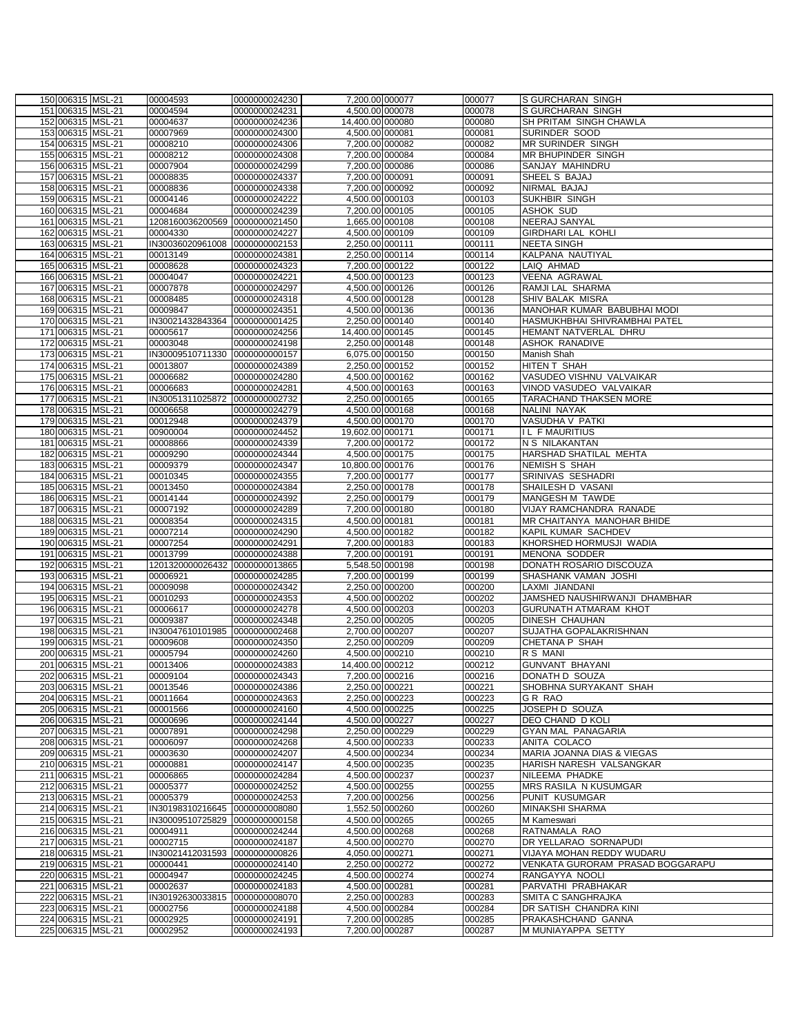|  | 150 006315 MSL-21                      | 00004593                     | 0000000024230                  | 7,200.00 000077                     | 000077           | <b>S GURCHARAN SINGH</b>                        |
|--|----------------------------------------|------------------------------|--------------------------------|-------------------------------------|------------------|-------------------------------------------------|
|  | 151 006315 MSL-21                      | 00004594                     | 0000000024231                  | 4,500.00 000078                     | 000078           | S GURCHARAN SINGH                               |
|  | 152 006315 MSL-21                      | 00004637                     | 0000000024236                  | 14,400.00 000080                    | 000080           | SH PRITAM SINGH CHAWLA                          |
|  | 153 006315 MSL-21                      | 00007969                     | 0000000024300                  | 4,500.00 000081                     | 000081           | SURINDER SOOD                                   |
|  | 154 006315 MSL-21                      | 00008210                     | 0000000024306                  | 7,200.00 000082                     | 000082           | MR SURINDER SINGH                               |
|  | 155 006315 MSL-21                      | 00008212                     | 0000000024308                  | 7,200.00 000084                     | 000084           | MR BHUPINDER SINGH                              |
|  | 156 006315 MSL-21                      | 00007904                     | 0000000024299                  | 7,200.00 000086                     | 000086           | SANJAY MAHINDRU                                 |
|  | 157 006315 MSL-21                      | 00008835                     | 0000000024337                  | 7,200.00 000091                     | 000091           | SHEEL S BAJAJ                                   |
|  | 158 006315 MSL-21                      | 00008836                     | 0000000024338                  | 7,200.00 000092                     | 000092           | NIRMAL BAJAJ                                    |
|  | 159 006315 MSL-21                      | 00004146                     | 0000000024222                  | 4,500.00 000103                     | 000103           | SUKHBIR SINGH                                   |
|  | 160 006315 MSL-21                      | 00004684                     | 0000000024239                  | 7,200.00 000105                     | 000105           | <b>ASHOK SUD</b>                                |
|  | 161 006315 MSL-21                      | 1208160036200569             | 0000000021450                  | 1,665.00 000108                     | 000108           | NEERAJ SANYAL                                   |
|  | 162 006315 MSL-21                      | 00004330                     | 0000000024227                  | 4,500.00 000109                     | 000109           | <b>GIRDHARI LAL KOHLI</b>                       |
|  | 163 006315 MSL-21                      | IN30036020961008             | 0000000002153                  | 2,250.00 000111                     | 000111           | <b>NEETA SINGH</b>                              |
|  | 164 006315 MSL-21                      | 00013149                     | 0000000024381                  | 2,250.00 000114                     | 000114           | KALPANA NAUTIYAL                                |
|  | 165 006315 MSL-21                      | 00008628                     | 0000000024323                  | 7,200.00 000122                     | 000122           | LAIQ AHMAD                                      |
|  | 166 006315 MSL-21                      | 00004047                     | 0000000024221                  | 4,500.00 000123                     | 000123           | VEENA AGRAWAL                                   |
|  | 167 006315 MSL-21                      | 00007878                     | 0000000024297                  | 4,500.00 000126                     | 000126           | RAMJI LAL SHARMA                                |
|  | 168 006315 MSL-21                      | 00008485                     | 0000000024318                  | 4,500.00 000128                     | 000128           | SHIV BALAK MISRA                                |
|  | 169 006315 MSL-21                      | 00009847                     | 0000000024351                  | 4,500.00 000136                     | 000136           | MANOHAR KUMAR BABUBHAI MODI                     |
|  | 170 006315 MSL-21                      | IN30021432843364             | 0000000001425                  | 2,250.00 000140                     | 000140           | HASMUKHBHAI SHIVRAMBHAI PATEL                   |
|  | 171 006315 MSL-21                      | 00005617                     | 0000000024256                  | 14,400.00 000145                    | 000145           | HEMANT NATVERLAL DHRU                           |
|  | 172 006315 MSL-21                      | 00003048                     | 0000000024198                  | 2,250.00 000148                     | 000148           | ASHOK RANADIVE                                  |
|  | 173 006315 MSL-21                      | IN30009510711330             | 0000000000157                  | 6,075.00 000150                     | 000150           | Manish Shah                                     |
|  | 174 006315 MSL-21                      | 00013807                     | 0000000024389                  | 2,250.00 000152                     | 000152           | HITEN T SHAH                                    |
|  | 175 006315 MSL-21                      | 00006682                     | 0000000024280                  | 4,500.00 000162                     | 000162           | VASUDEO VISHNU VALVAIKAR                        |
|  | 176 006315 MSL-21                      | 00006683                     | 0000000024281                  | 4,500.00 000163                     | 000163           | VINOD VASUDEO VALVAIKAR                         |
|  | 177 006315 MSL-21                      | IN30051311025872             | 0000000002732                  | 2,250.00 000165                     | 000165           | TARACHAND THAKSEN MORE                          |
|  | 178 006315 MSL-21                      | 00006658                     | 0000000024279                  | 4,500.00 000168                     | 000168           | NALINI NAYAK                                    |
|  | 179 006315 MSL-21                      | 00012948                     | 0000000024379                  | 4,500.00 000170                     | 000170           | VASUDHA V PATKI                                 |
|  | 180 006315 MSL-21                      | 00900004                     | 0000000024452                  | 19,602.00 000171                    | 000171           | <b>IL FMAURITIUS</b>                            |
|  | 181 006315 MSL-21                      | 00008866                     | 0000000024339                  | 7,200.00 000172                     | 000172           | N S NILAKANTAN                                  |
|  | 182 006315 MSL-21                      | 00009290                     | 0000000024344                  | 4,500.00 000175                     | 000175           | HARSHAD SHATILAL MEHTA                          |
|  | 183 006315 MSL-21                      | 00009379                     | 0000000024347                  | 10,800.00 000176                    | 000176           | <b>NEMISH S SHAH</b>                            |
|  | 184 006315 MSL-21                      | 00010345                     | 0000000024355                  | 7,200.00 000177                     | 000177           | SRINIVAS SESHADRI                               |
|  | 185 006315 MSL-21                      | 00013450                     | 0000000024384                  | 2,250.00 000178                     | 000178           | SHAILESH D VASANI                               |
|  | 186 006315 MSL-21                      | 00014144                     | 0000000024392                  | 2,250.00 000179                     | 000179           | MANGESH M TAWDE                                 |
|  | 187 006315 MSL-21                      | 00007192                     | 0000000024289                  | 7,200.00 000180                     | 000180           | VIJAY RAMCHANDRA RANADE                         |
|  | 188 006315 MSL-21                      | 00008354                     | 0000000024315                  | 4,500.00 000181                     | 000181           | MR CHAITANYA MANOHAR BHIDE                      |
|  | 189 006315 MSL-21                      | 00007214                     | 0000000024290                  | 4,500.00 000182                     | 000182           | KAPIL KUMAR SACHDEV                             |
|  | 190 006315 MSL-21                      | 00007254                     | 0000000024291                  | 7,200.00 000183                     | 000183           | KHORSHED HORMUSJI WADIA                         |
|  | 191 006315 MSL-21                      | 00013799                     | 0000000024388                  | 7,200.00 000191                     | 000191           | MENONA SODDER                                   |
|  | 192 006315 MSL-21                      | 1201320000026432             | 0000000013865                  | 5,548.50 000198                     | 000198           | DONATH ROSARIO DISCOUZA                         |
|  | 193 006315 MSL-21                      | 00006921                     | 0000000024285                  | 7,200.00 000199                     | 000199           | SHASHANK VAMAN JOSHI                            |
|  | 194 006315 MSL-21                      | 00009098                     | 0000000024342                  | 2,250.00 000200                     | 000200           | LAXMI JIANDANI                                  |
|  | 195 006315 MSL-21<br>196 006315 MSL-21 | 00010293                     | 0000000024353                  | 4,500.00 000202                     | 000202           | JAMSHED NAUSHIRWANJI DHAMBHAR                   |
|  |                                        | 00006617                     | 0000000024278<br>0000000024348 | 4,500.00 000203                     | 000203           | <b>GURUNATH ATMARAM KHOT</b>                    |
|  | 197 006315 MSL-21                      | 00009387<br>IN30047610101985 |                                | 2,250.00 000205<br>2,700.00 000207  | 000205           | DINESH CHAUHAN                                  |
|  | 198 006315 MSL-21<br>199 006315 MSL-21 | 00009608                     | 0000000002468                  |                                     | 000207           | SUJATHA GOPALAKRISHNAN<br><b>CHETANA P SHAH</b> |
|  | 200 006315 MSL-21                      | 00005794                     | 0000000024350<br>0000000024260 | 2,250.00 000209<br>4,500.00 000210  | 000209<br>000210 | R S MANI                                        |
|  | 201 006315 MSL-21                      |                              | 0000000024383                  |                                     | 000212           | <b>GUNVANT BHAYANI</b>                          |
|  | 202 006315 MSL-21                      | 00013406<br>00009104         | 0000000024343                  | 14,400.00 000212<br>7,200.00 000216 | 000216           | DONATH D SOUZA                                  |
|  | 203 006315 MSL-21                      | 00013546                     | 0000000024386                  | 2,250.00 000221                     | 000221           | SHOBHNA SURYAKANT SHAH                          |
|  | 204 006315 MSL-21                      | 00011664                     | 0000000024363                  | 2,250.00 000223                     | 000223           | GR RAO                                          |
|  | 205 006315 MSL-21                      | 00001566                     | 0000000024160                  | 4,500.00 000225                     | 000225           | JOSEPH D SOUZA                                  |
|  | 206 006315 MSL-21                      | 00000696                     | 0000000024144                  | 4,500.00 000227                     | 000227           | DEO CHAND D KOLI                                |
|  | 207 006315 MSL-21                      | 00007891                     | 0000000024298                  | 2,250.00 000229                     | 000229           | GYAN MAL PANAGARIA                              |
|  | 208 006315 MSL-21                      | 00006097                     | 0000000024268                  | 4,500.00 000233                     | 000233           | ANITA COLACO                                    |
|  | 209 006315 MSL-21                      | 00003630                     | 0000000024207                  | 4,500.00 000234                     | 000234           | MARIA JOANNA DIAS & VIEGAS                      |
|  | 210 006315 MSL-21                      | 00000881                     | 0000000024147                  | 4,500.00 000235                     | 000235           | HARISH NARESH VALSANGKAR                        |
|  | 211 006315 MSL-21                      | 00006865                     | 0000000024284                  | 4,500.00 000237                     | 000237           | NILEEMA PHADKE                                  |
|  | 212 006315 MSL-21                      | 00005377                     | 0000000024252                  | 4,500.00 000255                     | 000255           | <b>MRS RASILA N KUSUMGAR</b>                    |
|  | 213 006315 MSL-21                      | 00005379                     | 0000000024253                  | 7,200.00 000256                     | 000256           | PUNIT KUSUMGAR                                  |
|  | 214 006315 MSL-21                      | IN30198310216645             | 0000000008080                  | 1,552.50 000260                     | 000260           | MINAKSHI SHARMA                                 |
|  | 215 006315 MSL-21                      | IN30009510725829             | 0000000000158                  | 4,500.00 000265                     | 000265           | M Kameswari                                     |
|  | 216 006315 MSL-21                      | 00004911                     | 0000000024244                  | 4,500.00 000268                     | 000268           | RATNAMALA RAO                                   |
|  | 217 006315 MSL-21                      | 00002715                     | 0000000024187                  | 4,500.00 000270                     | 000270           | DR YELLARAO SORNAPUDI                           |
|  | 218 006315 MSL-21                      | IN30021412031593             | 0000000000826                  | 4,050.00 000271                     | 000271           | VIJAYA MOHAN REDDY WUDARU                       |
|  | 219 006315 MSL-21                      | 00000441                     | 0000000024140                  | 2,250.00 000272                     | 000272           | VENKATA GURORAM PRASAD BOGGARAPU                |
|  | 220 006315 MSL-21                      | 00004947                     | 0000000024245                  | 4,500.00 000274                     | 000274           | RANGAYYA NOOLI                                  |
|  | 221 006315 MSL-21                      | 00002637                     | 0000000024183                  | 4,500.00 000281                     | 000281           | PARVATHI PRABHAKAR                              |
|  | 222 006315 MSL-21                      | IN30192630033815             | 0000000008070                  | 2,250.00 000283                     | 000283           | SMITA C SANGHRAJKA                              |
|  | 223 006315 MSL-21                      | 00002756                     | 0000000024188                  | 4,500.00 000284                     | 000284           | DR SATISH CHANDRA KINI                          |
|  | 224 006315 MSL-21                      | 00002925                     | 0000000024191                  | 7,200.00 000285                     | 000285           | PRAKASHCHAND GANNA                              |
|  | 225 006315 MSL-21                      | 00002952                     | 0000000024193                  | 7,200.00 000287                     | 000287           | M MUNIAYAPPA SETTY                              |
|  |                                        |                              |                                |                                     |                  |                                                 |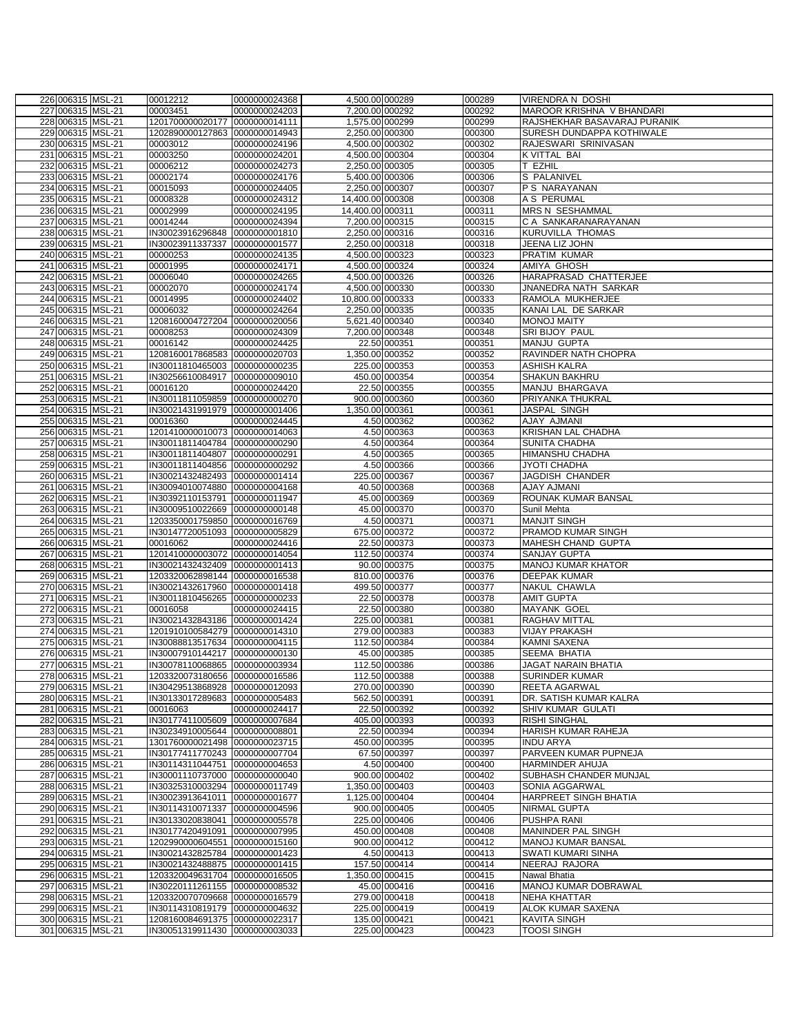| 226 006315 MSL-21 | 00012212                       | 0000000024368 | 4,500.00 000289  |               | 000289 | <b>VIRENDRA N DOSHI</b>      |
|-------------------|--------------------------------|---------------|------------------|---------------|--------|------------------------------|
| 227 006315 MSL-21 | 00003451                       | 0000000024203 | 7,200.00 000292  |               | 000292 | MAROOR KRISHNA V BHANDARI    |
| 228 006315 MSL-21 | 1201700000020177               | 0000000014111 | 1,575.00 000299  |               | 000299 | RAJSHEKHAR BASAVARAJ PURANIK |
| 229 006315 MSL-21 | 1202890000127863 0000000014943 |               | 2,250.00 000300  |               | 000300 | SURESH DUNDAPPA KOTHIWALE    |
| 230 006315 MSL-21 | 00003012                       | 0000000024196 | 4,500.00 000302  |               | 000302 | RAJESWARI SRINIVASAN         |
| 231 006315 MSL-21 | 00003250                       | 0000000024201 | 4,500.00 000304  |               | 000304 | K VITTAL BAI                 |
| 232 006315 MSL-21 | 00006212                       | 0000000024273 | 2,250.00 000305  |               | 000305 | T EZHIL                      |
| 233 006315 MSL-21 | 00002174                       | 0000000024176 | 5,400.00 000306  |               | 000306 | S PALANIVEL                  |
| 234 006315 MSL-21 | 00015093                       | 0000000024405 | 2,250.00 000307  |               | 000307 | P S NARAYANAN                |
| 235 006315 MSL-21 | 00008328                       | 0000000024312 | 14,400.00 000308 |               | 000308 | A S PERUMAL                  |
| 236 006315 MSL-21 | 00002999                       | 0000000024195 | 14,400.00 000311 |               | 000311 | MRS N SESHAMMAL              |
| 237 006315 MSL-21 | 00014244                       | 0000000024394 | 7,200.00 000315  |               | 000315 | C A SANKARANARAYANAN         |
| 238 006315 MSL-21 | IN30023916296848               | 0000000001810 | 2,250.00 000316  |               | 000316 | <b>KURUVILLA THOMAS</b>      |
| 239 006315 MSL-21 | IN30023911337337               | 0000000001577 | 2,250.00 000318  |               | 000318 | JEENA LIZ JOHN               |
| 240 006315 MSL-21 | 00000253                       | 0000000024135 | 4,500.00 000323  |               | 000323 | <b>PRATIM KUMAR</b>          |
| 241 006315 MSL-21 | 00001995                       | 0000000024171 | 4,500.00 000324  |               | 000324 | AMIYA GHOSH                  |
| 242 006315 MSL-21 | 00006040                       | 0000000024265 | 4,500.00 000326  |               | 000326 | HARAPRASAD CHATTERJEE        |
| 243 006315 MSL-21 | 00002070                       | 0000000024174 | 4,500.00 000330  |               | 000330 | JNANEDRA NATH SARKAR         |
| 244 006315 MSL-21 | 00014995                       | 0000000024402 | 10,800.00 000333 |               | 000333 | RAMOLA MUKHERJEE             |
| 245 006315 MSL-21 | 00006032                       | 0000000024264 | 2,250.00 000335  |               | 000335 | KANAI LAL DE SARKAR          |
| 246 006315 MSL-21 | 1208160004727204 0000000020056 |               | 5,621.40 000340  |               | 000340 | <b>MONOJ MAITY</b>           |
| 247 006315 MSL-21 | 00008253                       | 0000000024309 | 7,200.00 000348  |               | 000348 | SRI BIJOY PAUL               |
| 248 006315 MSL-21 | 00016142                       | 0000000024425 |                  | 22.50 000351  | 000351 | MANJU GUPTA                  |
| 249 006315 MSL-21 | 1208160017868583               | 0000000020703 | 1,350.00 000352  |               | 000352 | RAVINDER NATH CHOPRA         |
| 250 006315 MSL-21 | IN30011810465003               | 0000000000235 |                  | 225.00 000353 | 000353 | <b>ASHISH KALRA</b>          |
| 251 006315 MSL-21 | IN30256610084917               | 0000000009010 |                  | 450.00 000354 | 000354 | <b>SHAKUN BAKHRU</b>         |
| 252 006315 MSL-21 | 00016120                       | 0000000024420 |                  | 22.50 000355  | 000355 | MANJU BHARGAVA               |
| 253 006315 MSL-21 | IN30011811059859               | 0000000000270 |                  | 900.00 000360 | 000360 | PRIYANKA THUKRAL             |
| 254 006315 MSL-21 | IN30021431991979 0000000001406 |               | 1,350.00 000361  |               | 000361 | JASPAL SINGH                 |
| 255 006315 MSL-21 | 00016360                       | 0000000024445 |                  | 4.50 000362   | 000362 | <b>AJAY AJMANI</b>           |
| 256 006315 MSL-21 | 1201410000010073 0000000014063 |               |                  | 4.50 000363   | 000363 | KRISHAN LAL CHADHA           |
| 257 006315 MSL-21 | IN30011811404784 0000000000290 |               |                  | 4.50 000364   | 000364 | <b>SUNITA CHADHA</b>         |
| 258 006315 MSL-21 | IN30011811404807 0000000000291 |               |                  | 4.50 000365   | 000365 | <b>HIMANSHU CHADHA</b>       |
| 259 006315 MSL-21 | IN30011811404856 0000000000292 |               |                  | 4.50 000366   | 000366 | JYOTI CHADHA                 |
| 260 006315 MSL-21 | IN30021432482493 0000000001414 |               |                  | 225.00 000367 | 000367 | JAGDISH CHANDER              |
| 261 006315 MSL-21 | IN30094010074880 0000000004168 |               |                  | 40.50 000368  | 000368 | <b>AJAY AJMANI</b>           |
| 262 006315 MSL-21 | IN30392110153791 0000000011947 |               |                  | 45.00 000369  | 000369 | ROUNAK KUMAR BANSAL          |
| 263 006315 MSL-21 | IN30009510022669 0000000000148 |               |                  | 45.00 000370  | 000370 | Sunil Mehta                  |
| 264 006315 MSL-21 | 1203350001759850 0000000016769 |               |                  | 4.50 000371   | 000371 | <b>MANJIT SINGH</b>          |
| 265 006315 MSL-21 | IN30147720051093               | 0000000005829 |                  | 675.00 000372 | 000372 | <b>PRAMOD KUMAR SINGH</b>    |
| 266 006315 MSL-21 | 00016062                       | 0000000024416 |                  | 22.50 000373  | 000373 | MAHESH CHAND GUPTA           |
| 267 006315 MSL-21 | 1201410000003072 0000000014054 |               |                  | 112.50 000374 | 000374 | <b>SANJAY GUPTA</b>          |
| 268 006315 MSL-21 | IN30021432432409 0000000001413 |               |                  | 90.00 000375  | 000375 | <b>MANOJ KUMAR KHATOR</b>    |
| 269 006315 MSL-21 | 1203320062898144 0000000016538 |               |                  | 810.00 000376 | 000376 | <b>DEEPAK KUMAR</b>          |
| 270 006315 MSL-21 | IN30021432617960 0000000001418 |               |                  | 499.50 000377 | 000377 | NAKUL CHAWLA                 |
| 271 006315 MSL-21 | IN30011810456265 0000000000233 |               |                  | 22.50 000378  | 000378 | <b>AMIT GUPTA</b>            |
| 272 006315 MSL-21 | 00016058                       | 0000000024415 |                  | 22.50 000380  | 000380 | <b>MAYANK GOEL</b>           |
| 273 006315 MSL-21 | IN30021432843186 0000000001424 |               |                  | 225.00 000381 | 000381 | <b>RAGHAV MITTAL</b>         |
| 274 006315 MSL-21 | 1201910100584279 0000000014310 |               |                  | 279.00 000383 | 000383 | <b>VIJAY PRAKASH</b>         |
| 275 006315 MSL-21 | IN30088813517634 0000000004115 |               |                  | 112.50 000384 | 000384 | <b>KAMNI SAXENA</b>          |
| 276 006315 MSL-21 | IN30007910144217 0000000000130 |               |                  | 45.00 000385  | 000385 | SEEMA BHATIA                 |
| 277 006315 MSL-21 | IN30078110068865 0000000003934 |               |                  | 112.50 000386 | 000386 | <b>JAGAT NARAIN BHATIA</b>   |
| 278 006315 MSL-21 | 1203320073180656 0000000016586 |               |                  | 112.50 000388 | 000388 | <b>SURINDER KUMAR</b>        |
| 279 006315 MSL-21 | IN30429513868928 0000000012093 |               |                  | 270.00 000390 | 000390 | <b>REETA AGARWAL</b>         |
| 280 006315 MSL-21 | IN30133017289683 0000000005483 |               |                  | 562.50 000391 | 000391 | DR. SATISH KUMAR KALRA       |
| 281 006315 MSL-21 | 00016063                       | 0000000024417 |                  | 22.50 000392  | 000392 | <b>SHIV KUMAR GULATI</b>     |
| 282 006315 MSL-21 | IN30177411005609               | 0000000007684 |                  | 405.00 000393 | 000393 | <b>RISHI SINGHAL</b>         |
| 283 006315 MSL-21 | IN30234910005644               | 0000000008801 |                  | 22.50 000394  | 000394 | HARISH KUMAR RAHEJA          |
| 284 006315 MSL-21 | 1301760000021498 0000000023715 |               |                  | 450.00 000395 | 000395 | <b>INDU ARYA</b>             |
| 285 006315 MSL-21 | IN30177411770243 0000000007704 |               |                  | 67.50 000397  | 000397 | PARVEEN KUMAR PUPNEJA        |
| 286 006315 MSL-21 | IN30114311044751 0000000004653 |               |                  | 4.50 000400   | 000400 | <b>HARMINDER AHUJA</b>       |
| 287 006315 MSL-21 | IN30001110737000               | 0000000000040 |                  | 900.00 000402 | 000402 | SUBHASH CHANDER MUNJAL       |
| 288 006315 MSL-21 | IN30325310003294               | 0000000011749 | 1,350.00 000403  |               | 000403 | SONIA AGGARWAL               |
| 289 006315 MSL-21 | IN30023913641011 0000000001677 |               | 1,125.00 000404  |               | 000404 | HARPREET SINGH BHATIA        |
| 290 006315 MSL-21 | IN30114310071337               | 0000000004596 |                  | 900.00 000405 | 000405 | <b>NIRMAL GUPTA</b>          |
| 291 006315 MSL-21 | IN30133020838041               | 0000000005578 |                  | 225.00 000406 | 000406 | <b>PUSHPA RANI</b>           |
| 292 006315 MSL-21 | IN30177420491091               | 0000000007995 |                  | 450.00 000408 | 000408 | <b>MANINDER PAL SINGH</b>    |
| 293 006315 MSL-21 | 1202990000604551               | 0000000015160 |                  | 900.00 000412 | 000412 | <b>MANOJ KUMAR BANSAL</b>    |
| 294 006315 MSL-21 | IN30021432825784               | 0000000001423 |                  | 4.50 000413   | 000413 | SWATI KUMARI SINHA           |
| 295 006315 MSL-21 | IN30021432488875 0000000001415 |               |                  | 157.50 000414 | 000414 | NEERAJ RAJORA                |
| 296 006315 MSL-21 | 1203320049631704 0000000016505 |               | 1,350.00 000415  |               | 000415 | Nawal Bhatia                 |
| 297 006315 MSL-21 | IN30220111261155 0000000008532 |               |                  | 45.00 000416  | 000416 | MANOJ KUMAR DOBRAWAL         |
| 298 006315 MSL-21 | 1203320070709668 0000000016579 |               |                  | 279.00 000418 | 000418 | <b>NEHA KHATTAR</b>          |
| 299 006315 MSL-21 | IN30114310819179 0000000004632 |               |                  | 225.00 000419 | 000419 | ALOK KUMAR SAXENA            |
| 300 006315 MSL-21 | 1208160084691375 0000000022317 |               |                  | 135.00 000421 | 000421 | <b>KAVITA SINGH</b>          |
| 301 006315 MSL-21 | IN30051319911430 0000000003033 |               |                  | 225.00 000423 | 000423 | TOOSI SINGH                  |
|                   |                                |               |                  |               |        |                              |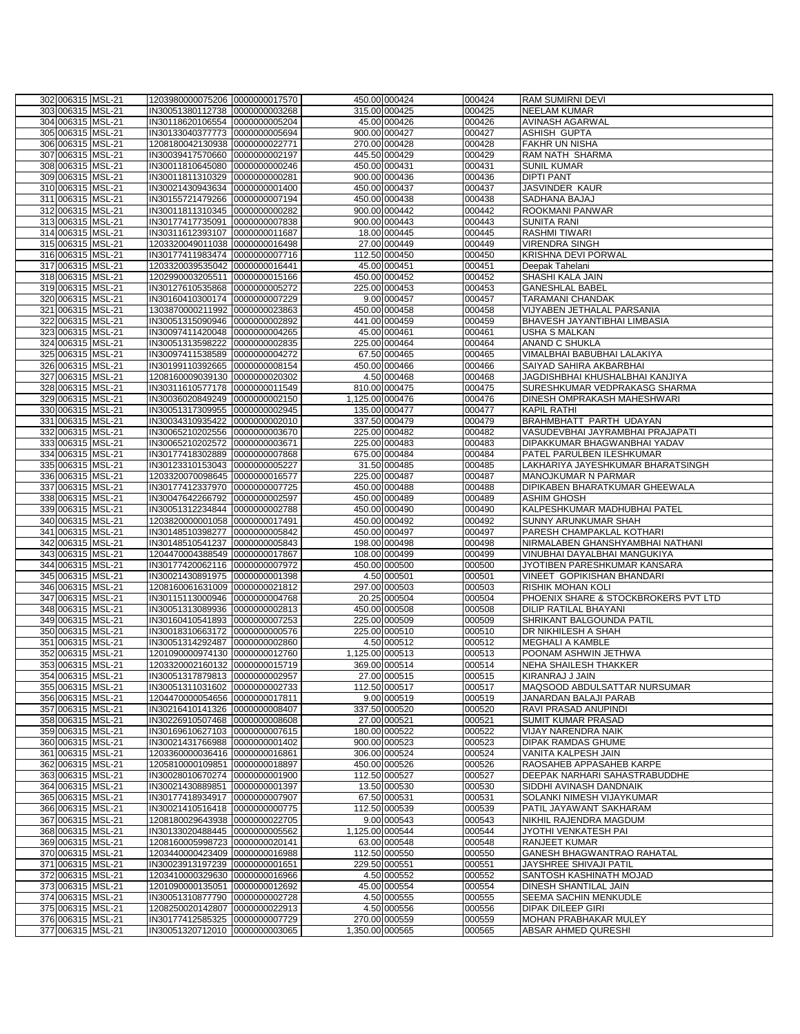| 302 006315 MSL-21                      | 1203980000075206 0000000017570                                   |               |                 | 450.00 000424                  | 000424           | RAM SUMIRNI DEVI                                              |
|----------------------------------------|------------------------------------------------------------------|---------------|-----------------|--------------------------------|------------------|---------------------------------------------------------------|
| 303 006315 MSL-21                      | IN30051380112738 0000000003268                                   |               |                 | 315.00 000425                  | 000425           | <b>NEELAM KUMAR</b>                                           |
| 304 006315 MSL-21                      | IN30118620106554 0000000005204                                   |               |                 | 45.00 000426                   | 000426           | <b>AVINASH AGARWAL</b>                                        |
| 305 006315 MSL-21                      | IN30133040377773 0000000005694                                   |               |                 | 900.00 000427                  | 000427           | <b>ASHISH GUPTA</b>                                           |
| 306 006315 MSL-21                      | 1208180042130938 0000000022771                                   |               |                 | 270.00 000428                  | 000428           | <b>FAKHR UN NISHA</b>                                         |
| 307 006315 MSL-21                      | IN30039417570660 0000000002197                                   |               |                 | 445.50 000429                  | 000429           | <b>RAM NATH SHARMA</b>                                        |
| 308 006315 MSL-21<br>309 006315 MSL-21 | IN30011810645080 0000000000246<br>IN30011811310329 0000000000281 |               |                 | 450.00 000431<br>900.00 000436 | 000431<br>000436 | <b>SUNIL KUMAR</b><br><b>DIPTI PANT</b>                       |
| 310 006315 MSL-21                      | IN30021430943634 0000000001400                                   |               |                 | 450.00 000437                  | 000437           | <b>JASVINDER KAUR</b>                                         |
| 311 006315 MSL-21                      | IN30155721479266 0000000007194                                   |               |                 | 450.00 000438                  | 000438           | SADHANA BAJAJ                                                 |
| 312 006315 MSL-21                      | IN30011811310345 0000000000282                                   |               |                 | 900.00 000442                  | 000442           | ROOKMANI PANWAR                                               |
| 313 006315 MSL-21                      | IN30177417735091 0000000007838                                   |               |                 | 900.00 000443                  | 000443           | <b>SUNITA RANI</b>                                            |
| 314 006315 MSL-21                      | IN30311612393107 0000000011687                                   |               |                 | 18.00 000445                   | 000445           | <b>RASHMI TIWARI</b>                                          |
| 315 006315 MSL-21                      | 1203320049011038 0000000016498                                   |               |                 | 27.00 000449                   | 000449           | <b>VIRENDRA SINGH</b>                                         |
| 316 006315 MSL-21                      | IN30177411983474 0000000007716                                   |               |                 | 112.50 000450                  | 000450           | <b>KRISHNA DEVI PORWAL</b>                                    |
| 317 006315 MSL-21                      | 1203320039535042 0000000016441                                   |               |                 | 45.00 000451                   | 000451           | Deepak Tahelani                                               |
| 318 006315 MSL-21                      | 1202990003205511                                                 | 0000000015166 |                 | 450.00 000452                  | 000452           | SHASHI KALA JAIN                                              |
| 319 006315 MSL-21                      | IN30127610535868 0000000005272                                   |               |                 | 225.00 000453                  | 000453           | <b>GANESHLAL BABEL</b>                                        |
| 320 006315 MSL-21                      | IN30160410300174 0000000007229                                   |               |                 | 9.00 000457                    | 000457           | <b>TARAMANI CHANDAK</b>                                       |
| 321 006315 MSL-21                      | 1303870000211992 0000000023863                                   |               |                 | 450.00 000458                  | 000458           | VIJYABEN JETHALAL PARSANIA                                    |
| 322 006315 MSL-21                      | IN30051315090946 0000000002892                                   |               |                 | 441.00 000459                  | 000459           | <b>BHAVESH JAYANTIBHAI LIMBASIA</b>                           |
| 323 006315 MSL-21                      | IN30097411420048 0000000004265                                   |               |                 | 45.00 000461                   | 000461           | <b>USHA S MALKAN</b>                                          |
| 324 006315 MSL-21                      | IN30051313598222 0000000002835                                   |               |                 | 225.00 000464                  | 000464<br>000465 | ANAND C SHUKLA<br>VIMALBHAI BABUBHAI LALAKIYA                 |
| 325 006315 MSL-21<br>326 006315 MSL-21 | IN30097411538589 0000000004272<br>IN30199110392665 0000000008154 |               |                 | 67.50 000465<br>450.00 000466  | 000466           | SAIYAD SAHIRA AKBARBHAI                                       |
| 327 006315 MSL-21                      | 1208160009039130 0000000020302                                   |               |                 | 4.50 000468                    | 000468           | JAGDISHBHAI KHUSHALBHAI KANJIYA                               |
| 328 006315 MSL-21                      | IN30311610577178 0000000011549                                   |               |                 | 810.00 000475                  | 000475           | SURESHKUMAR VEDPRAKASG SHARMA                                 |
| 329 006315 MSL-21                      | IN30036020849249 0000000002150                                   |               | 1,125.00 000476 |                                | 000476           | DINESH OMPRAKASH MAHESHWARI                                   |
| 330 006315 MSL-21                      | IN30051317309955 0000000002945                                   |               |                 | 135.00 000477                  | 000477           | <b>KAPIL RATHI</b>                                            |
| 331 006315 MSL-21                      | IN30034310935422 0000000002010                                   |               |                 | 337.50 000479                  | 000479           | <b>BRAHMBHATT PARTH UDAYAN</b>                                |
| 332 006315 MSL-21                      | IN30065210202556 0000000003670                                   |               |                 | 225.00 000482                  | 000482           | VASUDEVBHAI JAYRAMBHAI PRAJAPATI                              |
| 333 006315 MSL-21                      | IN30065210202572 0000000003671                                   |               |                 | 225.00 000483                  | 000483           | DIPAKKUMAR BHAGWANBHAI YADAV                                  |
| 334 006315 MSL-21                      | IN30177418302889 0000000007868                                   |               |                 | 675.00 000484                  | 000484           | PATEL PARULBEN ILESHKUMAR                                     |
| 335 006315 MSL-21                      | IN30123310153043 0000000005227                                   |               |                 | 31.50 000485                   | 000485           | LAKHARIYA JAYESHKUMAR BHARATSINGH                             |
| 336 006315 MSL-21                      | 1203320070098645 0000000016577                                   |               |                 | 225.00 000487                  | 000487           | MANOJKUMAR N PARMAR                                           |
| 337 006315 MSL-21                      | IN30177412337970 0000000007725                                   |               |                 | 450.00 000488                  | 000488           | DIPIKABEN BHARATKUMAR GHEEWALA                                |
| 338 006315 MSL-21                      | IN30047642266792 0000000002597                                   |               |                 | 450.00 000489                  | 000489           | <b>ASHIM GHOSH</b>                                            |
| 339 006315 MSL-21                      | IN30051312234844 0000000002788                                   |               |                 | 450.00 000490                  | 000490           | KALPESHKUMAR MADHUBHAI PATEL                                  |
| 340 006315 MSL-21                      | 1203820000001058 0000000017491                                   |               |                 | 450.00 000492                  | 000492           | SUNNY ARUNKUMAR SHAH                                          |
| 341 006315 MSL-21<br>342 006315 MSL-21 | IN30148510398277<br>IN30148510541237 0000000005843               | 0000000005842 |                 | 450.00 000497<br>198.00 000498 | 000497<br>000498 | PARESH CHAMPAKLAL KOTHARI<br>NIRMALABEN GHANSHYAMBHAI NATHANI |
| 343 006315 MSL-21                      | 1204470004388549 0000000017867                                   |               |                 | 108.00 000499                  | 000499           | VINUBHAI DAYALBHAI MANGUKIYA                                  |
| 344 006315 MSL-21                      | IN30177420062116 0000000007972                                   |               |                 | 450.00 000500                  | 000500           | JYOTIBEN PARESHKUMAR KANSARA                                  |
| 345 006315 MSL-21                      | IN30021430891975 0000000001398                                   |               |                 | 4.50 000501                    | 000501           | VINEET GOPIKISHAN BHANDARI                                    |
| 346 006315 MSL-21                      | 1208160061631009 0000000021812                                   |               |                 | 297.00 000503                  | 000503           | <b>RISHIK MOHAN KOLI</b>                                      |
| 347 006315 MSL-21                      | IN30115113000946 0000000004768                                   |               |                 | 20.25 000504                   | 000504           | PHOENIX SHARE & STOCKBROKERS PVT LTD                          |
| 348 006315 MSL-21                      | IN30051313089936 0000000002813                                   |               |                 | 450.00 000508                  | 000508           | <b>DILIP RATILAL BHAYANI</b>                                  |
| 349 006315 MSL-21                      | IN30160410541893 0000000007253                                   |               |                 | 225.00 000509                  | 000509           | SHRIKANT BALGOUNDA PATIL                                      |
| 350 006315 MSL-21                      | IN30018310663172 0000000000576                                   |               |                 | 225.00 000510                  | 000510           | <b>DR NIKHILESH A SHAH</b>                                    |
| 351 006315 MSL-21                      | IN30051314292487 0000000002860                                   |               |                 | 4.50 000512                    | 000512           | <b>MEGHALI A KAMBLE</b>                                       |
| 352 006315 MSL-21                      | 1201090000974130 0000000012760                                   |               | 1,125.00 000513 |                                | 000513           | POONAM ASHWIN JETHWA                                          |
| 353 006315 MSL-21                      | 1203320002160132 0000000015719                                   |               |                 | 369.00 000514                  | 000514           | NEHA SHAILESH THAKKER                                         |
| 354 006315 MSL-21<br>355 006315 MSL-21 | IN30051317879813 0000000002957                                   |               |                 | 27.00 000515                   | 000515           | KIRANRAJ J JAIN                                               |
| 356 006315 MSL-21                      | IN30051311031602 0000000002733<br>1204470000054656 0000000017811 |               |                 | 112.50 000517<br>9.00 000519   | 000517<br>000519 | MAQSOOD ABDULSATTAR NURSUMAR<br>JANARDAN BALAJI PARAB         |
| 357 006315 MSL-21                      | IN30216410141326 0000000008407                                   |               |                 | 337.50 000520                  | 000520           | RAVI PRASAD ANUPINDI                                          |
| 358 006315 MSL-21                      | IN30226910507468 0000000008608                                   |               |                 | 27.00 000521                   | 000521           | SUMIT KUMAR PRASAD                                            |
| 359 006315 MSL-21                      | IN30169610627103 0000000007615                                   |               |                 | 180.00 000522                  | 000522           | VIJAY NARENDRA NAIK                                           |
| 360 006315 MSL-21                      | IN30021431766988 0000000001402                                   |               |                 | 900.00 000523                  | 000523           | <b>DIPAK RAMDAS GHUME</b>                                     |
| 361 006315 MSL-21                      | 1203360000036416 0000000016861                                   |               |                 | 306.00 000524                  | 000524           | VANITA KALPESH JAIN                                           |
| 362 006315 MSL-21                      | 1205810000109851                                                 | 0000000018897 |                 | 450.00 000526                  | 000526           | RAOSAHEB APPASAHEB KARPE                                      |
| 363 006315 MSL-21                      | IN30028010670274                                                 | 0000000001900 |                 | 112.50 000527                  | 000527           | DEEPAK NARHARI SAHASTRABUDDHE                                 |
| 364 006315 MSL-21                      | IN30021430889851                                                 | 0000000001397 |                 | 13.50 000530                   | 000530           | SIDDHI AVINASH DANDNAIK                                       |
| 365 006315 MSL-21                      | IN30177418934917 0000000007907                                   |               |                 | 67.50 000531                   | 000531           | SOLANKI NIMESH VIJAYKUMAR                                     |
| 366 006315 MSL-21                      | IN30021410516418 0000000000775                                   |               |                 | 112.50 000539                  | 000539           | PATIL JAYAWANT SAKHARAM                                       |
| 367 006315 MSL-21                      | 1208180029643938 0000000022705                                   |               |                 | 9.00 000543                    | 000543           | NIKHIL RAJENDRA MAGDUM                                        |
| 368 006315 MSL-21                      | IN30133020488445 0000000005562                                   |               | 1,125.00 000544 |                                | 000544           | JYOTHI VENKATESH PAI                                          |
| 369 006315 MSL-21                      | 1208160005998723                                                 | 0000000020141 |                 | 63.00 000548                   | 000548           | <b>RANJEET KUMAR</b>                                          |
| 370 006315 MSL-21                      | 1203440000423409 0000000016988                                   |               |                 | 112.50 000550                  | 000550           | <b>GANESH BHAGWANTRAO RAHATAL</b>                             |
| 371 006315 MSL-21                      | IN30023913197239 0000000001651                                   |               |                 | 229.50 000551                  | 000551           | JAYSHREE SHIVAJI PATIL                                        |
| 372 006315 MSL-21<br>373 006315 MSL-21 | 1203410000329630 0000000016966<br>1201090000135051               | 0000000012692 |                 | 4.50 000552<br>45.00 000554    | 000552<br>000554 | SANTOSH KASHINATH MOJAD<br>DINESH SHANTILAL JAIN              |
| 374 006315 MSL-21                      | IN30051310877790                                                 | 0000000002728 |                 | 4.50 000555                    | 000555           | <b>SEEMA SACHIN MENKUDLE</b>                                  |
| 375 006315 MSL-21                      | 1208250020142807                                                 | 0000000022913 |                 | 4.50 000556                    | 000556           | <b>DIPAK DILEEP GIRI</b>                                      |
| 376 006315 MSL-21                      | IN30177412585325                                                 | 0000000007729 |                 | 270.00 000559                  | 000559           | <b>MOHAN PRABHAKAR MULEY</b>                                  |
| 377 006315 MSL-21                      | IN30051320712010 0000000003065                                   |               | 1,350.00 000565 |                                | 000565           | <b>ABSAR AHMED QURESHI</b>                                    |
|                                        |                                                                  |               |                 |                                |                  |                                                               |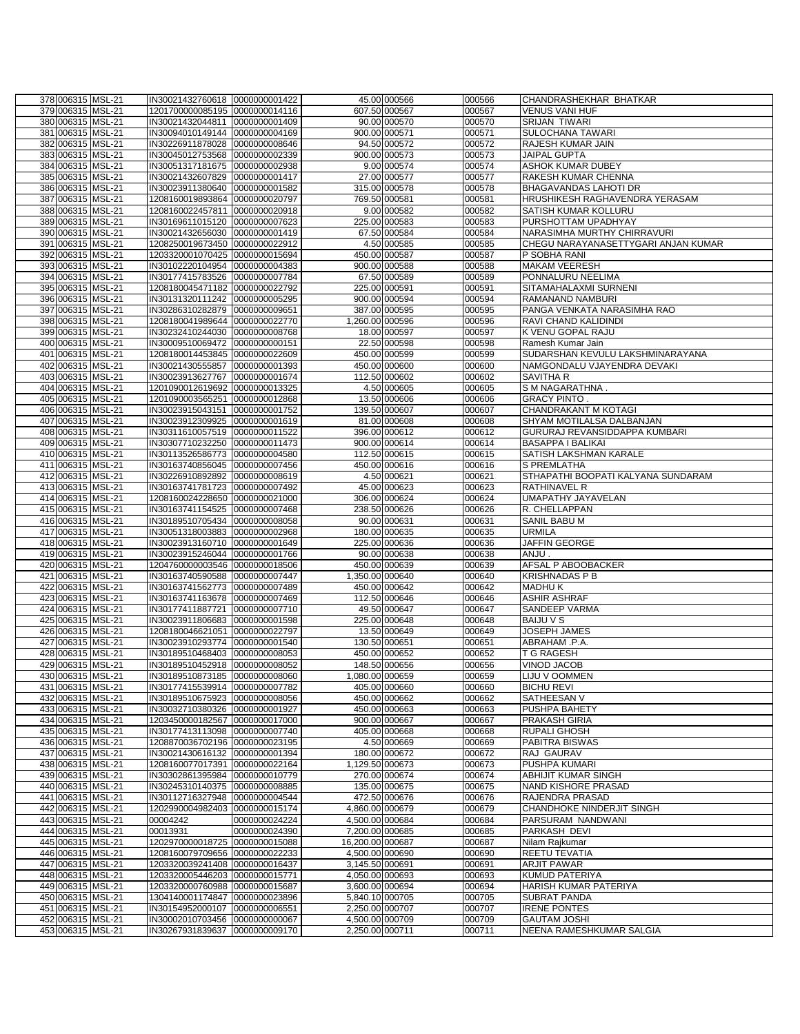| 378 006315 MSL-21                      | IN30021432760618 0000000001422                     |               |                                    | 45.00 000566  | 000566           | CHANDRASHEKHAR BHATKAR                          |
|----------------------------------------|----------------------------------------------------|---------------|------------------------------------|---------------|------------------|-------------------------------------------------|
| 379 006315 MSL-21                      | 1201700000085195 0000000014116                     |               |                                    | 607.50 000567 | 000567           | <b>VENUS VANI HUF</b>                           |
| 380 006315 MSL-21                      | IN30021432044811 0000000001409                     |               |                                    | 90.00 000570  | 000570           | <b>SRIJAN TIWARI</b>                            |
|                                        |                                                    |               |                                    | 900.00 000571 |                  |                                                 |
| 381 006315 MSL-21                      | IN30094010149144 0000000004169                     |               |                                    |               | 000571           | <b>SULOCHANA TAWARI</b>                         |
| 382 006315 MSL-21                      | IN30226911878028 0000000008646                     |               |                                    | 94.50 000572  | 000572           | RAJESH KUMAR JAIN                               |
| 383 006315 MSL-21                      | IN30045012753568 0000000002339                     |               |                                    | 900.00 000573 | 000573           | JAIPAL GUPTA                                    |
| 384 006315 MSL-21                      | IN30051317181675 0000000002938                     |               |                                    | 9.00 000574   | 000574           | <b>ASHOK KUMAR DUBEY</b>                        |
| 385 006315 MSL-21                      | IN30021432607829 0000000001417                     |               |                                    | 27.00 000577  | 000577           | RAKESH KUMAR CHENNA                             |
| 386 006315 MSL-21                      | IN30023911380640 0000000001582                     |               |                                    | 315.00 000578 | 000578           | BHAGAVANDAS LAHOTI DR                           |
| 387 006315 MSL-21                      | 1208160019893864 0000000020797                     |               |                                    | 769.50 000581 | 000581           | HRUSHIKESH RAGHAVENDRA YERASAM                  |
| 388 006315 MSL-21                      | 1208160022457811 0000000020918                     |               |                                    | 9.00 000582   | 000582           | SATISH KUMAR KOLLURU                            |
| 389 006315 MSL-21                      | IN30169611015120 0000000007623                     |               |                                    | 225.00 000583 | 000583           | PURSHOTTAM UPADHYAY                             |
|                                        |                                                    |               |                                    |               |                  |                                                 |
| 390 006315 MSL-21                      | IN30021432656030 0000000001419                     |               |                                    | 67.50 000584  | 000584           | NARASIMHA MURTHY CHIRRAVURI                     |
| 391 006315 MSL-21                      | 1208250019673450 0000000022912                     |               |                                    | 4.50 000585   | 000585           | CHEGU NARAYANASETTYGARI ANJAN KUMAR             |
| 392 006315 MSL-21                      | 1203320001070425 0000000015694                     |               |                                    | 450.00 000587 | 000587           | P SOBHA RANI                                    |
| 393 006315 MSL-21                      | IN30102220104954 0000000004383                     |               |                                    | 900.00 000588 | 000588           | <b>MAKAM VEERESH</b>                            |
| 394 006315 MSL-21                      | IN30177415783526 0000000007784                     |               |                                    | 67.50 000589  | 000589           | PONNALURU NEELIMA                               |
| 395 006315 MSL-21                      | 1208180045471182 0000000022792                     |               |                                    | 225.00 000591 | 000591           | SITAMAHALAXMI SURNENI                           |
| 396 006315 MSL-21                      | IN30131320111242 0000000005295                     |               |                                    | 900.00 000594 | 000594           | RAMANAND NAMBURI                                |
| 397 006315 MSL-21                      | IN30286310282879 0000000009651                     |               |                                    | 387.00 000595 | 000595           | PANGA VENKATA NARASIMHA RAO                     |
| 398 006315 MSL-21                      | 1208180041989644 0000000022770                     |               | 1,260.00 000596                    |               | 000596           | RAVI CHAND KALIDINDI                            |
| 399 006315 MSL-21                      | IN30232410244030 0000000008768                     |               |                                    | 18.00 000597  | 000597           | K VENU GOPAL RAJU                               |
| 400 006315 MSL-21                      | IN30009510069472 0000000000151                     |               |                                    | 22.50 000598  | 000598           | Ramesh Kumar Jain                               |
| 401 006315 MSL-21                      | 1208180014453845 0000000022609                     |               |                                    | 450.00 000599 | 000599           | SUDARSHAN KEVULU LAKSHMINARAYANA                |
| 402 006315 MSL-21                      | IN30021430555857 0000000001393                     |               |                                    | 450.00 000600 | 000600           | NAMGONDALU VJAYENDRA DEVAKI                     |
|                                        |                                                    |               |                                    |               |                  |                                                 |
| 403 006315 MSL-21                      | IN30023913627767 0000000001674                     |               |                                    | 112.50 000602 | 000602           | SAVITHA R                                       |
| 404 006315 MSL-21                      | 1201090012619692 0000000013325                     |               |                                    | 4.50 000605   | 000605           | S M NAGARATHNA.                                 |
| 405 006315 MSL-21                      | 1201090003565251 0000000012868                     |               |                                    | 13.50 000606  | 000606           | <b>GRACY PINTO.</b>                             |
| 406 006315 MSL-21                      | IN30023915043151 0000000001752                     |               |                                    | 139.50 000607 | 000607           | <b>CHANDRAKANT M KOTAGI</b>                     |
| 407 006315 MSL-21                      | IN30023912309925 0000000001619                     |               |                                    | 81.00 000608  | 000608           | SHYAM MOTILALSA DALBANJAN                       |
| 408 006315 MSL-21                      | IN30311610057519 0000000011522                     |               |                                    | 396.00 000612 | 000612           | GURURAJ REVANSIDDAPPA KUMBARI                   |
| 409 006315 MSL-21                      | IN30307710232250 0000000011473                     |               |                                    | 900.00 000614 | 000614           | <b>BASAPPA I BALIKAI</b>                        |
| 410 006315 MSL-21                      | IN30113526586773 0000000004580                     |               |                                    | 112.50 000615 | 000615           | SATISH LAKSHMAN KARALE                          |
| 411 006315 MSL-21                      | IN30163740856045 0000000007456                     |               |                                    | 450.00 000616 | 000616           | S PREMLATHA                                     |
| 412 006315 MSL-21                      | IN30226910892892 0000000008619                     |               |                                    | 4.50 000621   | 000621           | STHAPATHI BOOPATI KALYANA SUNDARAM              |
| 413 006315 MSL-21                      | IN30163741781723 0000000007492                     |               |                                    | 45.00 000623  | 000623           | <b>RATHINAVEL R</b>                             |
|                                        |                                                    |               |                                    |               |                  |                                                 |
| 414 006315 MSL-21                      | 1208160024228650 0000000021000                     |               |                                    | 306.00 000624 | 000624           | UMAPATHY JAYAVELAN                              |
| 415 006315 MSL-21                      | IN30163741154525 0000000007468                     |               |                                    | 238.50 000626 | 000626           | R. CHELLAPPAN                                   |
| 416 006315 MSL-21                      | IN30189510705434 0000000008058                     |               |                                    | 90.00 000631  | 000631           | SANIL BABU M                                    |
| 417 006315 MSL-21                      | IN30051318003883 0000000002968                     |               |                                    | 180.00 000635 | 000635           | <b>URMILA</b>                                   |
| 418 006315 MSL-21                      | IN30023913160710 0000000001649                     |               |                                    | 225.00 000636 | 000636           | JAFFIN GEORGE                                   |
| 419 006315 MSL-21                      | IN30023915246044 0000000001766                     |               |                                    | 90.00 000638  | 000638           | ANJU.                                           |
| 420 006315 MSL-21                      | 1204760000003546 0000000018506                     |               |                                    | 450.00 000639 | 000639           | AFSAL P ABOOBACKER                              |
| 421 006315 MSL-21                      | IN30163740590588 0000000007447                     |               | 1,350.00 000640                    |               | 000640           | <b>KRISHNADAS P B</b>                           |
| 422 006315 MSL-21                      | IN30163741562773 0000000007489                     |               |                                    | 450.00 000642 | 000642           | <b>MADHUK</b>                                   |
| 423 006315 MSL-21                      | IN30163741163678 0000000007469                     |               |                                    | 112.50 000646 | 000646           | ASHIR ASHRAF                                    |
| 424 006315 MSL-21                      | IN30177411887721 0000000007710                     |               |                                    | 49.50 000647  | 000647           | SANDEEP VARMA                                   |
| 425 006315 MSL-21                      | IN30023911806683 0000000001598                     |               |                                    |               |                  |                                                 |
| 426 006315 MSL-21                      |                                                    |               |                                    |               |                  |                                                 |
|                                        |                                                    |               |                                    | 225.00 000648 | 000648           | <b>BAIJU V S</b>                                |
|                                        | 1208180046621051 0000000022797                     |               |                                    | 13.50 000649  | 000649           | <b>JOSEPH JAMES</b>                             |
| 427 006315 MSL-21                      | IN30023910293774 0000000001540                     |               |                                    | 130.50 000651 | 000651           | ABRAHAM .P.A.                                   |
| 428 006315 MSL-21                      | IN30189510468403 0000000008053                     |               |                                    | 450.00 000652 | 000652           | T G RAGESH                                      |
| 429 006315 MSL-21                      | IN30189510452918 0000000008052                     |               |                                    | 148.50 000656 | 000656           | VINOD JACOB                                     |
| 430 006315 MSL-21                      | IN30189510873185 0000000008060                     |               | 1,080.00 000659                    |               | 000659           | LIJU V OOMMEN                                   |
| 431 006315 MSL-21                      | IN30177415539914 0000000007782                     |               |                                    | 405.00 000660 | 000660           | <b>BICHU REVI</b>                               |
| 432 006315 MSL-21                      | IN30189510675923 0000000008056                     |               |                                    | 450.00 000662 | 000662           | SATHEESAN V                                     |
| 433 006315 MSL-21                      | IN30032710380326 0000000001927                     |               |                                    | 450.00 000663 | 000663           | PUSHPA BAHETY                                   |
| 434 006315 MSL-21                      | 1203450000182567                                   | 0000000017000 |                                    | 900.00 000667 | 000667           | PRAKASH GIRIA                                   |
| 435 006315 MSL-21                      | IN30177413113098 0000000007740                     |               |                                    | 405.00 000668 | 000668           | <b>RUPALI GHOSH</b>                             |
| 436 006315 MSL-21                      | 1208870036702196 0000000023195                     |               |                                    | 4.50 000669   | 000669           | PABITRA BISWAS                                  |
| 437 006315 MSL-21                      | IN30021430616132 0000000001394                     |               |                                    | 180.00 000672 | 000672           | RAJ GAURAV                                      |
|                                        |                                                    |               |                                    |               |                  |                                                 |
| 438 006315 MSL-21                      | 1208160077017391 0000000022164                     |               | 1,129.50 000673                    |               | 000673           | PUSHPA KUMARI                                   |
| 439 006315 MSL-21                      | IN30302861395984 0000000010779                     |               |                                    | 270.00 000674 | 000674           | <b>ABHIJIT KUMAR SINGH</b>                      |
| 440 006315 MSL-21                      | IN30245310140375 0000000008885                     |               |                                    | 135.00 000675 | 000675           | NAND KISHORE PRASAD                             |
| 441 006315 MSL-21                      | IN30112716327948                                   | 0000000004544 |                                    | 472.50 000676 | 000676           | RAJENDRA PRASAD                                 |
| 442 006315 MSL-21                      | 1202990004982403 0000000015174                     |               | 4,860.00 000679                    |               | 000679           | CHANDHOKE NINDERJIT SINGH                       |
| 443 006315 MSL-21                      | 00004242                                           | 0000000024224 | 4,500.00 000684                    |               | 000684           | PARSURAM NANDWANI                               |
| 444 006315 MSL-21                      | 00013931                                           | 0000000024390 | 7,200.00 000685                    |               | 000685           | PARKASH DEVI                                    |
| 445 006315 MSL-21                      | 1202970000018725 0000000015088                     |               | 16,200.00 000687                   |               | 000687           | Nilam Rajkumar                                  |
| 446 006315 MSL-21                      | 1208160079709656 0000000022233                     |               | 4,500.00 000690                    |               | 000690           | REETU TEVATIA                                   |
| 447 006315 MSL-21                      | 1203320039241408 0000000016437                     |               | 3,145.50 000691                    |               | 000691           | <b>ARJIT PAWAR</b>                              |
| 448 006315 MSL-21                      | 1203320005446203 0000000015771                     |               | 4,050.00 000693                    |               | 000693           | <b>KUMUD PATERIYA</b>                           |
| 449 006315 MSL-21                      | 1203320000760988 0000000015687                     |               | 3,600.00 000694                    |               | 000694           | HARISH KUMAR PATERIYA                           |
| 450 006315 MSL-21                      | 1304140001174847 0000000023896                     |               | 5,840.10 000705                    |               | 000705           | <b>SUBRAT PANDA</b>                             |
|                                        |                                                    |               |                                    |               |                  |                                                 |
| 451 006315 MSL-21                      | IN30154952000107                                   | 0000000006551 | 2,250.00 000707                    |               | 000707           | <b>IRENE PONTES</b>                             |
| 452 006315 MSL-21<br>453 006315 MSL-21 | IN30002010703456 0000000000067<br>IN30267931839637 | 0000000009170 | 4,500.00 000709<br>2,250.00 000711 |               | 000709<br>000711 | <b>GAUTAM JOSHI</b><br>NEENA RAMESHKUMAR SALGIA |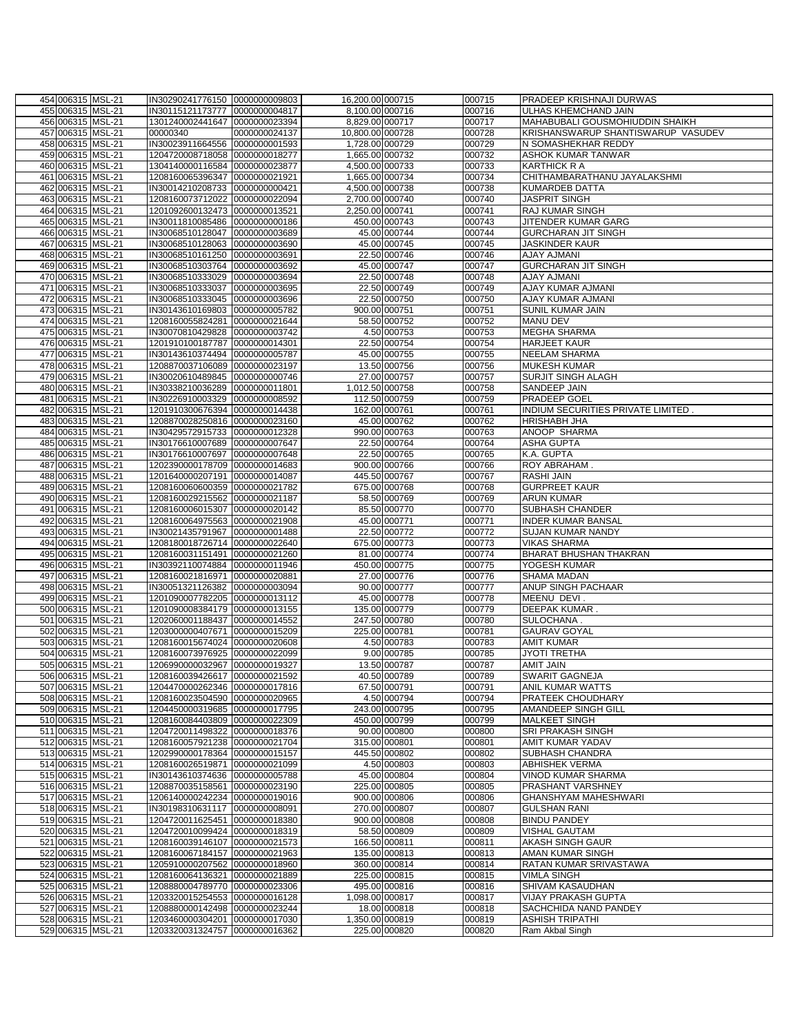| 454 006315 MSL-21 | IN30290241776150 0000000009803    | 16,200.00 000715 |               | 000715 | <b>PRADEEP KRISHNAJI DURWAS</b>    |
|-------------------|-----------------------------------|------------------|---------------|--------|------------------------------------|
| 455 006315 MSL-21 | IN30115121173777 0000000004817    | 8,100.00 000716  |               | 000716 | ULHAS KHEMCHAND JAIN               |
|                   |                                   | 8,829.00 000717  |               |        |                                    |
| 456 006315 MSL-21 | 1301240002441647 0000000023394    |                  |               | 000717 | MAHABUBALI GOUSMOHIUDDIN SHAIKH    |
| 457 006315 MSL-21 | 00000340<br>0000000024137         | 10,800.00 000728 |               | 000728 | KRISHANSWARUP SHANTISWARUP VASUDEV |
| 458 006315 MSL-21 | IN30023911664556<br>0000000001593 | 1,728.00 000729  |               | 000729 | N SOMASHEKHAR REDDY                |
| 459 006315 MSL-21 | 1204720008718058 0000000018277    | 1,665.00 000732  |               | 000732 | ASHOK KUMAR TANWAR                 |
| 460 006315 MSL-21 | 1304140000116584 0000000023877    | 4,500.00 000733  |               | 000733 | <b>KARTHICK R A</b>                |
|                   |                                   |                  |               |        |                                    |
| 461 006315 MSL-21 | 1208160065396347 0000000021921    | 1,665.00 000734  |               | 000734 | CHITHAMBARATHANU JAYALAKSHMI       |
| 462 006315 MSL-21 | IN30014210208733 0000000000421    | 4,500.00 000738  |               | 000738 | <b>KUMARDEB DATTA</b>              |
| 463 006315 MSL-21 | 1208160073712022 0000000022094    | 2,700.00 000740  |               | 000740 | <b>JASPRIT SINGH</b>               |
|                   |                                   |                  |               |        |                                    |
| 464 006315 MSL-21 | 1201092600132473 0000000013521    | 2,250.00 000741  |               | 000741 | RAJ KUMAR SINGH                    |
| 465 006315 MSL-21 | IN30011810085486 0000000000186    |                  | 450.00 000743 | 000743 | JITENDER KUMAR GARG                |
| 466 006315 MSL-21 | IN30068510128047 0000000003689    |                  | 45.00 000744  | 000744 | <b>GURCHARAN JIT SINGH</b>         |
| 467 006315 MSL-21 | IN30068510128063 0000000003690    |                  | 45.00 000745  | 000745 | <b>JASKINDER KAUR</b>              |
| 468 006315 MSL-21 | IN30068510161250 0000000003691    |                  | 22.50 000746  | 000746 | <b>AJAY AJMANI</b>                 |
|                   |                                   |                  |               |        |                                    |
| 469 006315 MSL-21 | IN30068510303764 0000000003692    |                  | 45.00 000747  | 000747 | <b>GURCHARAN JIT SINGH</b>         |
| 470 006315 MSL-21 | IN30068510333029<br>0000000003694 |                  | 22.50 000748  | 000748 | <b>AJAY AJMANI</b>                 |
| 471 006315 MSL-21 | IN30068510333037 0000000003695    |                  | 22.50 000749  | 000749 | AJAY KUMAR AJMANI                  |
| 472 006315 MSL-21 | IN30068510333045 0000000003696    |                  | 22.50 000750  | 000750 | AJAY KUMAR AJMANI                  |
|                   |                                   |                  |               |        |                                    |
| 473 006315 MSL-21 | IN30143610169803 0000000005782    |                  | 900.00 000751 | 000751 | SUNIL KUMAR JAIN                   |
| 474 006315 MSL-21 | 1208160055824281 0000000021644    |                  | 58.50 000752  | 000752 | MANU DEV                           |
| 475 006315 MSL-21 | IN30070810429828<br>0000000003742 |                  | 4.50 000753   | 000753 | MEGHA SHARMA                       |
| 476 006315 MSL-21 | 1201910100187787<br>0000000014301 |                  | 22.50 000754  | 000754 | <b>HARJEET KAUR</b>                |
| 477 006315 MSL-21 |                                   |                  | 45.00 000755  |        |                                    |
|                   | IN30143610374494 0000000005787    |                  |               | 000755 | <b>NEELAM SHARMA</b>               |
| 478 006315 MSL-21 | 1208870037106089 0000000023197    |                  | 13.50 000756  | 000756 | <b>MUKESH KUMAR</b>                |
| 479 006315 MSL-21 | IN30020610489845 0000000000746    |                  | 27.00 000757  | 000757 | SURJIT SINGH ALAGH                 |
| 480 006315 MSL-21 | IN30338210036289 0000000011801    | 1,012.50 000758  |               | 000758 | SANDEEP JAIN                       |
| 481 006315 MSL-21 | IN30226910003329 0000000008592    |                  | 112.50 000759 | 000759 | PRADEEP GOEL                       |
|                   |                                   |                  |               |        |                                    |
| 482 006315 MSL-21 | 1201910300676394 0000000014438    |                  | 162.00 000761 | 000761 | INDIUM SECURITIES PRIVATE LIMITED. |
| 483 006315 MSL-21 | 1208870028250816 0000000023160    |                  | 45.00 000762  | 000762 | <b>HRISHABH JHA</b>                |
| 484 006315 MSL-21 | IN30429572915733 0000000012328    |                  | 990.00 000763 | 000763 | ANOOP SHARMA                       |
| 485 006315 MSL-21 | IN30176610007689 0000000007647    |                  | 22.50 000764  | 000764 | <b>ASHA GUPTA</b>                  |
|                   |                                   |                  |               |        |                                    |
| 486 006315 MSL-21 | IN30176610007697 0000000007648    |                  | 22.50 000765  | 000765 | K.A. GUPTA                         |
| 487 006315 MSL-21 | 1202390000178709 0000000014683    |                  | 900.00 000766 | 000766 | ROY ABRAHAM.                       |
| 488 006315 MSL-21 | 1201640000207191 0000000014087    |                  | 445.50 000767 | 000767 | <b>RASHI JAIN</b>                  |
| 489 006315 MSL-21 | 1208160060600359 0000000021782    |                  | 675.00 000768 | 000768 | <b>GURPREET KAUR</b>               |
|                   |                                   |                  |               |        |                                    |
| 490 006315 MSL-21 | 1208160029215562 0000000021187    |                  | 58.50 000769  | 000769 | <b>ARUN KUMAR</b>                  |
| 491 006315 MSL-21 | 1208160006015307 0000000020142    |                  | 85.50 000770  | 000770 | SUBHASH CHANDER                    |
| 492 006315 MSL-21 | 1208160064975563 0000000021908    |                  | 45.00 000771  | 000771 | <b>INDER KUMAR BANSAL</b>          |
| 493 006315 MSL-21 | IN30021435791967 0000000001488    |                  | 22.50 000772  | 000772 | SUJAN KUMAR NANDY                  |
| 494 006315 MSL-21 | 1208180018726714 0000000022640    |                  | 675.00 000773 | 000773 | <b>VIKAS SHARMA</b>                |
|                   |                                   |                  |               |        |                                    |
| 495 006315 MSL-21 | 1208160031151491 0000000021260    |                  | 81.00 000774  | 000774 | BHARAT BHUSHAN THAKRAN             |
| 496 006315 MSL-21 | IN30392110074884 0000000011946    |                  | 450.00 000775 | 000775 | YOGESH KUMAR                       |
| 497 006315 MSL-21 | 1208160021816971<br>0000000020881 |                  | 27.00 000776  | 000776 | SHAMA MADAN                        |
| 498 006315 MSL-21 | IN30051321126382 0000000003094    |                  | 90.00 000777  | 000777 | ANUP SINGH PACHAAR                 |
| 499 006315 MSL-21 | 1201090007782205 0000000013112    |                  | 45.00 000778  | 000778 | MEENU DEVI.                        |
|                   |                                   |                  |               |        |                                    |
| 500 006315 MSL-21 | 1201090008384179 0000000013155    |                  | 135.00 000779 | 000779 | DEEPAK KUMAR.                      |
| 501 006315 MSL-21 | 1202060001188437 0000000014552    |                  | 247.50 000780 | 000780 | SULOCHANA.                         |
| 502 006315 MSL-21 | 1203000000407671 0000000015209    |                  | 225.00 000781 | 000781 | <b>GAURAV GOYAL</b>                |
| 503 006315 MSL-21 | 1208160015674024 0000000020608    |                  | 4.50 000783   | 000783 | <b>AMIT KUMAR</b>                  |
| 504 006315 MSL-21 | 1208160073976925 0000000022099    |                  | 9.00 000785   |        | <b>JYOTI TRETHA</b>                |
|                   |                                   |                  |               | 000785 |                                    |
| 505 006315 MSL-21 | 1206990000032967 0000000019327    |                  | 13.50 000787  | 000787 | AMIT JAIN                          |
| 506 006315 MSL-21 | 1208160039426617 0000000021592    |                  | 40.50 000789  | 000789 | <b>SWARIT GAGNEJA</b>              |
| 507 006315 MSL-21 | 1204470000262346 0000000017816    |                  | 67.50 000791  | 000791 | ANIL KUMAR WATTS                   |
| 508 006315 MSL-21 | 1208160023504590 0000000020965    |                  | 4.50 000794   | 000794 | <b>PRATEEK CHOUDHARY</b>           |
| 509 006315 MSL-21 | 1204450000319685 0000000017795    |                  | 243.00 000795 | 000795 | AMANDEEP SINGH GILL                |
|                   |                                   |                  |               |        |                                    |
| 510 006315 MSL-21 | 1208160084403809 0000000022309    |                  | 450.00 000799 | 000799 | <b>MALKEET SINGH</b>               |
| 511 006315 MSL-21 | 1204720011498322 0000000018376    |                  | 90.00 000800  | 000800 | SRI PRAKASH SINGH                  |
| 512 006315 MSL-21 | 1208160057921238 0000000021704    |                  | 315.00 000801 | 000801 | AMIT KUMAR YADAV                   |
| 513 006315 MSL-21 | 1202990000178364 0000000015157    |                  | 445.50 000802 | 000802 | SUBHASH CHANDRA                    |
|                   |                                   |                  |               |        |                                    |
| 514 006315 MSL-21 | 1208160026519871<br>0000000021099 |                  | 4.50 000803   | 000803 | <b>ABHISHEK VERMA</b>              |
| 515 006315 MSL-21 | IN30143610374636<br>0000000005788 |                  | 45.00 000804  | 000804 | VINOD KUMAR SHARMA                 |
| 516 006315 MSL-21 | 1208870035158561<br>0000000023190 |                  | 225.00 000805 | 000805 | PRASHANT VARSHNEY                  |
| 517 006315 MSL-21 | 1206140000242234<br>0000000019016 |                  | 900.00 000806 | 000806 | GHANSHYAM MAHESHWARI               |
| 518 006315 MSL-21 | IN30198310631117<br>0000000008091 |                  | 270.00 000807 | 000807 | <b>GULSHAN RANI</b>                |
|                   |                                   |                  |               |        |                                    |
| 519 006315 MSL-21 | 1204720011625451 0000000018380    |                  | 900.00 000808 | 000808 | <b>BINDU PANDEY</b>                |
| 520 006315 MSL-21 | 1204720010099424 0000000018319    |                  | 58.50 000809  | 000809 | VISHAL GAUTAM                      |
| 521 006315 MSL-21 | 1208160039146107 0000000021573    |                  | 166.50 000811 | 000811 | AKASH SINGH GAUR                   |
| 522 006315 MSL-21 | 1208160067184157 0000000021963    |                  | 135.00 000813 | 000813 | AMAN KUMAR SINGH                   |
|                   |                                   |                  |               |        |                                    |
| 523 006315 MSL-21 | 1205910000207562<br>0000000018960 |                  | 360.00 000814 | 000814 | RATAN KUMAR SRIVASTAWA             |
| 524 006315 MSL-21 | 1208160064136321 0000000021889    |                  | 225.00 000815 | 000815 | <b>VIMLA SINGH</b>                 |
| 525 006315 MSL-21 | 1208880004789770 0000000023306    |                  | 495.00 000816 | 000816 | SHIVAM KASAUDHAN                   |
| 526 006315 MSL-21 | 1203320015254553 0000000016128    | 1,098.00 000817  |               | 000817 | <b>VIJAY PRAKASH GUPTA</b>         |
| 527 006315 MSL-21 | 1208880000142498 0000000023244    |                  | 18.00 000818  | 000818 | SACHCHIDA NAND PANDEY              |
|                   |                                   |                  |               |        |                                    |
| 528 006315 MSL-21 | 1203460000304201<br>0000000017030 | 1,350.00 000819  |               | 000819 | <b>ASHISH TRIPATHI</b>             |
| 529 006315 MSL-21 | 1203320031324757<br>0000000016362 |                  | 225.00 000820 | 000820 | Ram Akbal Singh                    |
|                   |                                   |                  |               |        |                                    |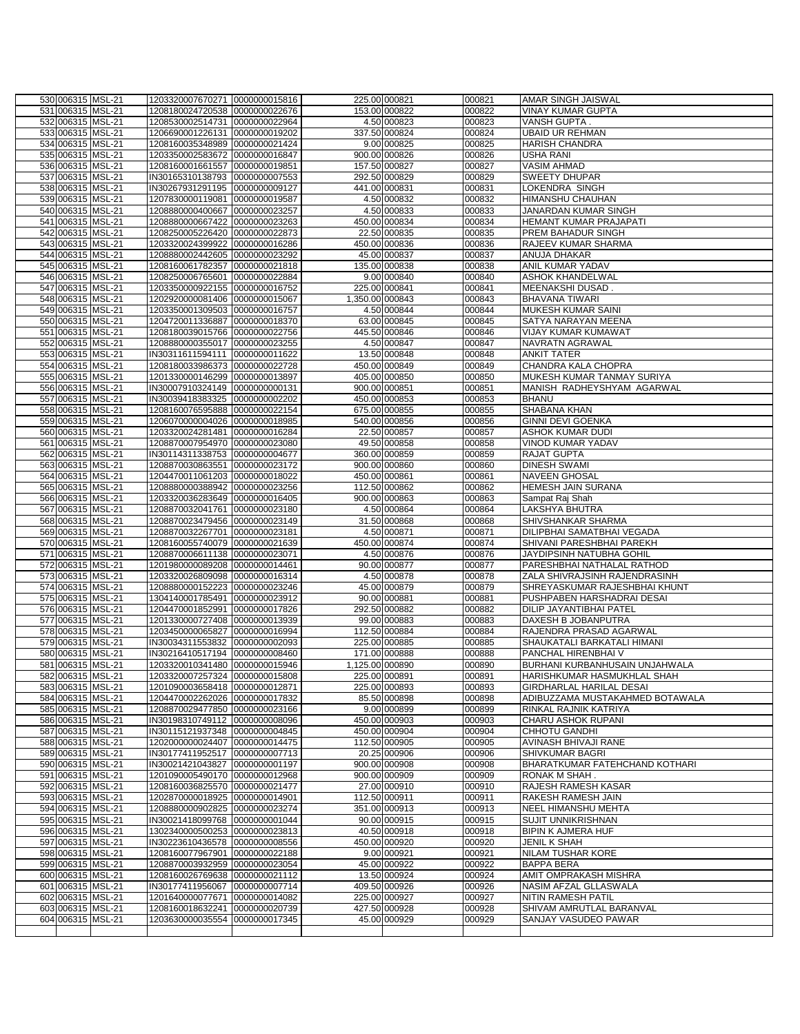| 530 006315 MSL-21                      | 1203320007670271 0000000015816                                   |               |                 | 225.00 000821                  | 000821           | <b>AMAR SINGH JAISWAL</b>                             |
|----------------------------------------|------------------------------------------------------------------|---------------|-----------------|--------------------------------|------------------|-------------------------------------------------------|
| 531 006315 MSL-21                      | 1208180024720538 0000000022676                                   |               |                 | 153.00 000822                  | 000822           | VINAY KUMAR GUPTA                                     |
| 532 006315 MSL-21                      | 1208530002514731 0000000022964                                   |               |                 | 4.50 000823                    | 000823           | VANSH GUPTA.                                          |
| 533 006315 MSL-21                      | 1206690001226131 0000000019202                                   |               |                 | 337.50 000824                  | 000824           | <b>UBAID UR REHMAN</b>                                |
| 534 006315 MSL-21                      | 1208160035348989 0000000021424                                   |               |                 | 9.00 000825                    | 000825           | <b>HARISH CHANDRA</b>                                 |
| 535 006315 MSL-21                      | 1203350002583672 0000000016847                                   |               |                 | 900.00 000826                  | 000826           | <b>USHA RANI</b>                                      |
| 536 006315 MSL-21<br>537 006315 MSL-21 | 1208160001661557 0000000019851<br>IN30165310138793 0000000007553 |               |                 | 157.50 000827<br>292.50 000829 | 000827<br>000829 | <b>VASIM AHMAD</b><br><b>SWEETY DHUPAR</b>            |
| 538 006315 MSL-21                      | IN30267931291195 0000000009127                                   |               |                 | 441.00 000831                  | 000831           | LOKENDRA SINGH                                        |
| 539 006315 MSL-21                      | 1207830000119081 0000000019587                                   |               |                 | 4.50 000832                    | 000832           | HIMANSHU CHAUHAN                                      |
| 540 006315 MSL-21                      | 1208880000400667 0000000023257                                   |               |                 | 4.50 000833                    | 000833           | JANARDAN KUMAR SINGH                                  |
| 541 006315 MSL-21                      | 1208880000667422 0000000023263                                   |               |                 | 450.00 000834                  | 000834           | HEMANT KUMAR PRAJAPATI                                |
| 542 006315 MSL-21                      | 1208250005226420 0000000022873                                   |               |                 | 22.50 000835                   | 000835           | PREM BAHADUR SINGH                                    |
| 543 006315 MSL-21                      | 1203320024399922 0000000016286                                   |               |                 | 450.00 000836                  | 000836           | RAJEEV KUMAR SHARMA                                   |
| 544 006315 MSL-21                      | 1208880002442605 0000000023292                                   |               |                 | 45.00 000837                   | 000837           | <b>ANUJA DHAKAR</b>                                   |
| 545 006315 MSL-21                      | 1208160061782357 0000000021818                                   |               |                 | 135.00 000838                  | 000838           | ANIL KUMAR YADAV                                      |
| 546 006315 MSL-21                      | 1208250006765601 0000000022884                                   |               |                 | 9.00 000840                    | 000840           | <b>ASHOK KHANDELWAL</b>                               |
| 547 006315 MSL-21                      | 1203350000922155 0000000016752                                   |               |                 | 225.00 000841                  | 000841           | MEENAKSHI DUSAD.                                      |
| 548 006315 MSL-21                      | 1202920000081406 0000000015067                                   |               | 1,350.00 000843 |                                | 000843           | <b>BHAVANA TIWARI</b>                                 |
| 549 006315 MSL-21                      | 1203350001309503 0000000016757                                   |               |                 | 4.50 000844                    | 000844           | MUKESH KUMAR SAINI                                    |
| 550 006315 MSL-21<br>551 006315 MSL-21 | 1204720011336887 0000000018370<br>1208180039015766 0000000022756 |               |                 | 63.00 000845<br>445.50 000846  | 000845<br>000846 | SATYA NARAYAN MEENA<br>VIJAY KUMAR KUMAWAT            |
| 552 006315 MSL-21                      | 1208880000355017 0000000023255                                   |               |                 | 4.50 000847                    | 000847           | NAVRATN AGRAWAL                                       |
| 553 006315 MSL-21                      | IN30311611594111 0000000011622                                   |               |                 | 13.50 000848                   | 000848           | <b>ANKIT TATER</b>                                    |
| 554 006315 MSL-21                      | 1208180033986373 0000000022728                                   |               |                 | 450.00 000849                  | 000849           | CHANDRA KALA CHOPRA                                   |
| 555 006315 MSL-21                      | 1201330000146299 0000000013897                                   |               |                 | 405.00 000850                  | 000850           | MUKESH KUMAR TANMAY SURIYA                            |
| 556 006315 MSL-21                      | IN30007910324149 00000000000131                                  |               |                 | 900.00 000851                  | 000851           | MANISH RADHEYSHYAM AGARWAL                            |
| 557 006315 MSL-21                      | IN30039418383325 0000000002202                                   |               |                 | 450.00 000853                  | 000853           | <b>BHANU</b>                                          |
| 558 006315 MSL-21                      | 1208160076595888 0000000022154                                   |               |                 | 675.00 000855                  | 000855           | SHABANA KHAN                                          |
| 559 006315 MSL-21                      | 1206070000004026 0000000018985                                   |               |                 | 540.00 000856                  | 000856           | <b>GINNI DEVI GOENKA</b>                              |
| 560 006315 MSL-21                      | 1203320024281481 0000000016284                                   |               |                 | 22.50 000857                   | 000857           | ASHOK KUMAR DUDI                                      |
| 561 006315 MSL-21                      | 1208870007954970 0000000023080                                   |               |                 | 49.50 000858                   | 000858           | VINOD KUMAR YADAV                                     |
| 562 006315 MSL-21                      | IN30114311338753 0000000004677<br>1208870030863551 0000000023172 |               |                 | 360.00 000859                  | 000859           | <b>RAJAT GUPTA</b>                                    |
| 563 006315 MSL-21<br>564 006315 MSL-21 | 1204470011061203 0000000018022                                   |               |                 | 900.00 000860<br>450.00 000861 | 000860<br>000861 | <b>DINESH SWAMI</b><br><b>NAVEEN GHOSAL</b>           |
| 565 006315 MSL-21                      | 1208880000388942 0000000023256                                   |               |                 | 112.50 000862                  | 000862           | HEMESH JAIN SURANA                                    |
| 566 006315 MSL-21                      | 1203320036283649 0000000016405                                   |               |                 | 900.00 000863                  | 000863           | Sampat Raj Shah                                       |
| 567 006315 MSL-21                      | 1208870032041761 0000000023180                                   |               |                 | 4.50 000864                    | 000864           | LAKSHYA BHUTRA                                        |
| 568 006315 MSL-21                      | 1208870023479456 0000000023149                                   |               |                 | 31.50 000868                   | 000868           | SHIVSHANKAR SHARMA                                    |
| 569 006315 MSL-21                      | 1208870032267701 0000000023181                                   |               |                 | 4.50 000871                    | 000871           | DILIPBHAI SAMATBHAI VEGADA                            |
| 570 006315 MSL-21                      | 1208160055740079 0000000021639                                   |               |                 | 450.00 000874                  | 000874           | SHIVANI PARESHBHAI PAREKH                             |
| 571 006315 MSL-21                      | 1208870006611138 0000000023071                                   |               |                 | 4.50 000876                    | 000876           | JAYDIPSINH NATUBHA GOHIL                              |
| 572 006315 MSL-21                      | 1201980000089208 0000000014461                                   |               |                 | 90.00 000877                   | 000877           | PARESHBHAI NATHALAL RATHOD                            |
| 573 006315 MSL-21                      | 1203320026809098 0000000016314                                   |               |                 | 4.50 000878                    | 000878           | ZALA SHIVRAJSINH RAJENDRASINH                         |
| 574 006315 MSL-21                      | 1208880000152223 0000000023246                                   |               |                 | 45.00 000879                   | 000879           | SHREYASKUMAR RAJESHBHAI KHUNT                         |
| 575 006315 MSL-21<br>576 006315 MSL-21 | 1304140001785491 0000000023912<br>1204470001852991 0000000017826 |               |                 | 90.00 000881<br>292.50 000882  | 000881<br>000882 | PUSHPABEN HARSHADRAI DESAI<br>DILIP JAYANTIBHAI PATEL |
| 577 006315 MSL-21                      | 1201330000727408 0000000013939                                   |               |                 | 99.00 000883                   | 000883           | DAXESH B JOBANPUTRA                                   |
| 578 006315 MSL-21                      | 1203450000065827 0000000016994                                   |               |                 | 112.50 000884                  | 000884           | RAJENDRA PRASAD AGARWAL                               |
| 579 006315 MSL-21                      | IN30034311553832 0000000002093                                   |               |                 | 225.00 000885                  | 000885           | SHAUKATALI BARKATALI HIMANI                           |
| 580 006315 MSL-21                      | IN30216410517194 0000000008460                                   |               |                 | 171.00 000888                  | 000888           | PANCHAL HIRENBHAI V                                   |
| 581 006315 MSL-21                      | 1203320010341480 0000000015946                                   |               | 1,125.00 000890 |                                | 000890           | BURHANI KURBANHUSAIN UNJAHWALA                        |
| 582 006315 MSL-21                      | 1203320007257324 0000000015808                                   |               |                 | 225.00 000891                  | 000891           | HARISHKUMAR HASMUKHLAL SHAH                           |
| 583 006315 MSL-21                      | 1201090003658418 0000000012871                                   |               |                 | 225.00 000893                  | 000893           | GIRDHARLAL HARILAL DESAI                              |
| 584 006315 MSL-21                      | 1204470002262026 0000000017832                                   |               |                 | 85.50 000898                   | 000898           | ADIBUZZAMA MUSTAKAHMED BOTAWALA                       |
| 585 006315 MSL-21                      | 1208870029477850 0000000023166                                   |               |                 | 9.00 000899                    | 000899           | RINKAL RAJNIK KATRIYA                                 |
| 586 006315 MSL-21                      | IN30198310749112 0000000008096                                   |               |                 | 450.00 000903                  | 000903           | CHARU ASHOK RUPANI                                    |
| 587 006315 MSL-21<br>588 006315 MSL-21 | IN30115121937348 0000000004845<br>1202000000024407 0000000014475 |               |                 | 450.00 000904<br>112.50 000905 | 000904<br>000905 | <b>CHHOTU GANDHI</b><br>AVINASH BHIVAJI RANE          |
| 589 006315 MSL-21                      | IN30177411952517                                                 | 0000000007713 |                 | 20.25 000906                   | 000906           | SHIVKUMAR BAGRI                                       |
| 590 006315 MSL-21                      | IN30021421043827                                                 | 0000000001197 |                 | 900.00 000908                  | 000908           | BHARATKUMAR FATEHCHAND KOTHARI                        |
| 591 006315 MSL-21                      | 1201090005490170 0000000012968                                   |               |                 | 900.00 000909                  | 000909           | RONAK M SHAH.                                         |
| 592 006315 MSL-21                      | 1208160036825570 0000000021477                                   |               |                 | 27.00 000910                   | 000910           | RAJESH RAMESH KASAR                                   |
| 593 006315 MSL-21                      | 1202870000018925 0000000014901                                   |               |                 | 112.50 000911                  | 000911           | RAKESH RAMESH JAIN                                    |
| 594 006315 MSL-21                      | 1208880000902825 0000000023274                                   |               |                 | 351.00 000913                  | 000913           | NEEL HIMANSHU MEHTA                                   |
| 595 006315 MSL-21                      | IN30021418099768 0000000001044                                   |               |                 | 90.00 000915                   | 000915           | <b>SUJIT UNNIKRISHNAN</b>                             |
| 596 006315 MSL-21                      | 1302340000500253 0000000023813                                   |               |                 | 40.50 000918                   | 000918           | <b>BIPIN K AJMERA HUF</b>                             |
| 597 006315 MSL-21                      | IN30223610436578 0000000008556                                   |               |                 | 450.00 000920                  | 000920           | <b>JENIL K SHAH</b>                                   |
| 598 006315 MSL-21                      | 1208160077967901                                                 | 0000000022188 |                 | 9.00 000921                    | 000921           | <b>NILAM TUSHAR KORE</b>                              |
| 599 006315 MSL-21                      | 1208870003932959 0000000023054                                   |               |                 | 45.00 000922                   | 000922           | <b>BAPPA BERA</b>                                     |
| 600 006315 MSL-21<br>601 006315 MSL-21 | 1208160026769638 0000000021112<br>IN30177411956067               | 0000000007714 |                 | 13.50 000924<br>409.50 000926  | 000924<br>000926 | AMIT OMPRAKASH MISHRA<br>NASIM AFZAL GLLASWALA        |
| 602 006315 MSL-21                      | 1201640000077671                                                 | 0000000014082 |                 | 225.00 000927                  | 000927           | NITIN RAMESH PATIL                                    |
| 603 006315 MSL-21                      | 1208160018632241                                                 | 0000000020739 |                 | 427.50 000928                  | 000928           | SHIVAM AMRUTLAL BARANVAL                              |
| 604 006315 MSL-21                      | 1203630000035554                                                 | 0000000017345 |                 | 45.00 000929                   | 000929           | SANJAY VASUDEO PAWAR                                  |
|                                        |                                                                  |               |                 |                                |                  |                                                       |
|                                        |                                                                  |               |                 |                                |                  |                                                       |